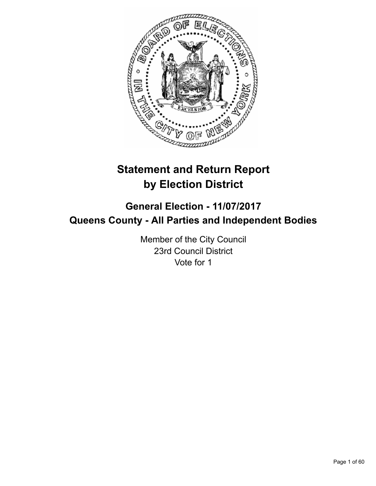

# **Statement and Return Report by Election District**

## **General Election - 11/07/2017 Queens County - All Parties and Independent Bodies**

Member of the City Council 23rd Council District Vote for 1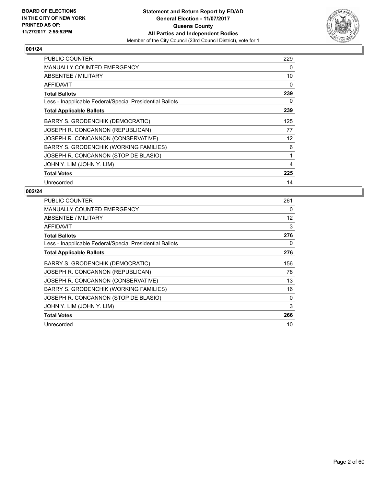

| <b>PUBLIC COUNTER</b>                                    | 229 |
|----------------------------------------------------------|-----|
| <b>MANUALLY COUNTED EMERGENCY</b>                        | 0   |
| ABSENTEE / MILITARY                                      | 10  |
| <b>AFFIDAVIT</b>                                         | 0   |
| <b>Total Ballots</b>                                     | 239 |
| Less - Inapplicable Federal/Special Presidential Ballots | 0   |
| <b>Total Applicable Ballots</b>                          | 239 |
| BARRY S. GRODENCHIK (DEMOCRATIC)                         | 125 |
| JOSEPH R. CONCANNON (REPUBLICAN)                         | 77  |
| JOSEPH R. CONCANNON (CONSERVATIVE)                       | 12  |
| BARRY S. GRODENCHIK (WORKING FAMILIES)                   | 6   |
| JOSEPH R. CONCANNON (STOP DE BLASIO)                     | 1   |
| JOHN Y. LIM (JOHN Y. LIM)                                | 4   |
| <b>Total Votes</b>                                       | 225 |
| Unrecorded                                               | 14  |

| <b>PUBLIC COUNTER</b>                                    | 261 |
|----------------------------------------------------------|-----|
| <b>MANUALLY COUNTED EMERGENCY</b>                        | 0   |
| ABSENTEE / MILITARY                                      | 12  |
| <b>AFFIDAVIT</b>                                         | 3   |
| <b>Total Ballots</b>                                     | 276 |
| Less - Inapplicable Federal/Special Presidential Ballots | 0   |
| <b>Total Applicable Ballots</b>                          | 276 |
| BARRY S. GRODENCHIK (DEMOCRATIC)                         | 156 |
| JOSEPH R. CONCANNON (REPUBLICAN)                         | 78  |
| JOSEPH R. CONCANNON (CONSERVATIVE)                       | 13  |
| BARRY S. GRODENCHIK (WORKING FAMILIES)                   | 16  |
| JOSEPH R. CONCANNON (STOP DE BLASIO)                     | 0   |
| JOHN Y. LIM (JOHN Y. LIM)                                | 3   |
| <b>Total Votes</b>                                       | 266 |
| Unrecorded                                               | 10  |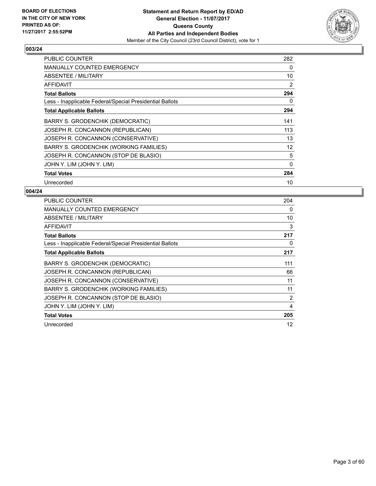

| <b>PUBLIC COUNTER</b>                                    | 282      |
|----------------------------------------------------------|----------|
| <b>MANUALLY COUNTED EMERGENCY</b>                        | 0        |
| ABSENTEE / MILITARY                                      | 10       |
| AFFIDAVIT                                                | 2        |
| <b>Total Ballots</b>                                     | 294      |
| Less - Inapplicable Federal/Special Presidential Ballots | 0        |
| <b>Total Applicable Ballots</b>                          | 294      |
| BARRY S. GRODENCHIK (DEMOCRATIC)                         | 141      |
| JOSEPH R. CONCANNON (REPUBLICAN)                         | 113      |
| JOSEPH R. CONCANNON (CONSERVATIVE)                       | 13       |
| BARRY S. GRODENCHIK (WORKING FAMILIES)                   | 12       |
| JOSEPH R. CONCANNON (STOP DE BLASIO)                     | 5        |
| JOHN Y. LIM (JOHN Y. LIM)                                | $\Omega$ |
| <b>Total Votes</b>                                       | 284      |
| Unrecorded                                               | 10       |

| PUBLIC COUNTER                                           | 204            |
|----------------------------------------------------------|----------------|
| <b>MANUALLY COUNTED EMERGENCY</b>                        | 0              |
| ABSENTEE / MILITARY                                      | 10             |
| AFFIDAVIT                                                | 3              |
| <b>Total Ballots</b>                                     | 217            |
| Less - Inapplicable Federal/Special Presidential Ballots | 0              |
| <b>Total Applicable Ballots</b>                          | 217            |
| BARRY S. GRODENCHIK (DEMOCRATIC)                         | 111            |
| JOSEPH R. CONCANNON (REPUBLICAN)                         | 66             |
| JOSEPH R. CONCANNON (CONSERVATIVE)                       | 11             |
| BARRY S. GRODENCHIK (WORKING FAMILIES)                   | 11             |
| JOSEPH R. CONCANNON (STOP DE BLASIO)                     | $\overline{2}$ |
| JOHN Y. LIM (JOHN Y. LIM)                                | 4              |
| <b>Total Votes</b>                                       | 205            |
| Unrecorded                                               | 12             |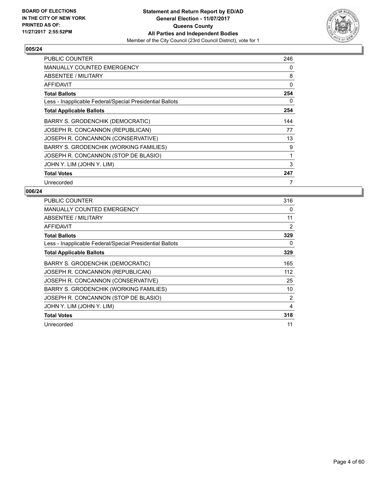

| <b>PUBLIC COUNTER</b>                                    | 246 |
|----------------------------------------------------------|-----|
| MANUALLY COUNTED EMERGENCY                               | 0   |
| ABSENTEE / MILITARY                                      | 8   |
| <b>AFFIDAVIT</b>                                         | 0   |
| <b>Total Ballots</b>                                     | 254 |
| Less - Inapplicable Federal/Special Presidential Ballots | 0   |
| <b>Total Applicable Ballots</b>                          | 254 |
| BARRY S. GRODENCHIK (DEMOCRATIC)                         | 144 |
| JOSEPH R. CONCANNON (REPUBLICAN)                         | 77  |
| JOSEPH R. CONCANNON (CONSERVATIVE)                       | 13  |
| BARRY S. GRODENCHIK (WORKING FAMILIES)                   | 9   |
| JOSEPH R. CONCANNON (STOP DE BLASIO)                     | 1   |
| JOHN Y. LIM (JOHN Y. LIM)                                | 3   |
| <b>Total Votes</b>                                       | 247 |
| Unrecorded                                               | 7   |

| PUBLIC COUNTER                                           | 316            |
|----------------------------------------------------------|----------------|
| <b>MANUALLY COUNTED EMERGENCY</b>                        | 0              |
| ABSENTEE / MILITARY                                      | 11             |
| <b>AFFIDAVIT</b>                                         | 2              |
| <b>Total Ballots</b>                                     | 329            |
| Less - Inapplicable Federal/Special Presidential Ballots | 0              |
| <b>Total Applicable Ballots</b>                          | 329            |
| BARRY S. GRODENCHIK (DEMOCRATIC)                         | 165            |
| JOSEPH R. CONCANNON (REPUBLICAN)                         | 112            |
| JOSEPH R. CONCANNON (CONSERVATIVE)                       | 25             |
| BARRY S. GRODENCHIK (WORKING FAMILIES)                   | 10             |
| JOSEPH R. CONCANNON (STOP DE BLASIO)                     | $\overline{2}$ |
| JOHN Y. LIM (JOHN Y. LIM)                                | 4              |
| <b>Total Votes</b>                                       | 318            |
| Unrecorded                                               | 11             |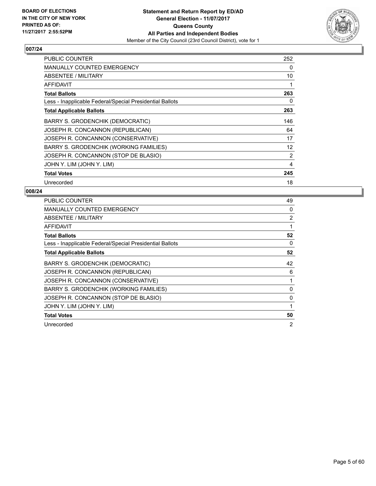

| <b>PUBLIC COUNTER</b>                                    | 252 |
|----------------------------------------------------------|-----|
| <b>MANUALLY COUNTED EMERGENCY</b>                        | 0   |
| ABSENTEE / MILITARY                                      | 10  |
| AFFIDAVIT                                                | 1   |
| <b>Total Ballots</b>                                     | 263 |
| Less - Inapplicable Federal/Special Presidential Ballots | 0   |
| <b>Total Applicable Ballots</b>                          | 263 |
| BARRY S. GRODENCHIK (DEMOCRATIC)                         | 146 |
| JOSEPH R. CONCANNON (REPUBLICAN)                         | 64  |
| JOSEPH R. CONCANNON (CONSERVATIVE)                       | 17  |
| BARRY S. GRODENCHIK (WORKING FAMILIES)                   | 12  |
| JOSEPH R. CONCANNON (STOP DE BLASIO)                     | 2   |
| JOHN Y. LIM (JOHN Y. LIM)                                | 4   |
| <b>Total Votes</b>                                       | 245 |
| Unrecorded                                               | 18  |

| PUBLIC COUNTER                                           | 49           |
|----------------------------------------------------------|--------------|
| <b>MANUALLY COUNTED EMERGENCY</b>                        | 0            |
| <b>ABSENTEE / MILITARY</b>                               | 2            |
| AFFIDAVIT                                                | 1            |
| <b>Total Ballots</b>                                     | 52           |
| Less - Inapplicable Federal/Special Presidential Ballots | 0            |
| <b>Total Applicable Ballots</b>                          | 52           |
| BARRY S. GRODENCHIK (DEMOCRATIC)                         | 42           |
| JOSEPH R. CONCANNON (REPUBLICAN)                         | 6            |
| JOSEPH R. CONCANNON (CONSERVATIVE)                       | 1            |
| BARRY S. GRODENCHIK (WORKING FAMILIES)                   | $\Omega$     |
| JOSEPH R. CONCANNON (STOP DE BLASIO)                     | 0            |
| JOHN Y. LIM (JOHN Y. LIM)                                | $\mathbf{1}$ |
| <b>Total Votes</b>                                       | 50           |
| Unrecorded                                               | 2            |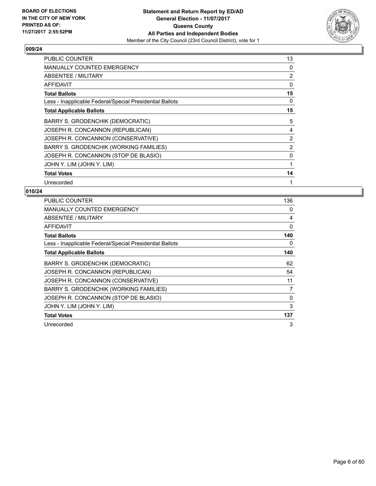

| <b>PUBLIC COUNTER</b>                                    | 13 |
|----------------------------------------------------------|----|
| MANUALLY COUNTED EMERGENCY                               | 0  |
| ABSENTEE / MILITARY                                      | 2  |
| AFFIDAVIT                                                | 0  |
| <b>Total Ballots</b>                                     | 15 |
| Less - Inapplicable Federal/Special Presidential Ballots | 0  |
| <b>Total Applicable Ballots</b>                          | 15 |
| BARRY S. GRODENCHIK (DEMOCRATIC)                         | 5  |
| JOSEPH R. CONCANNON (REPUBLICAN)                         | 4  |
| JOSEPH R. CONCANNON (CONSERVATIVE)                       | 2  |
| BARRY S. GRODENCHIK (WORKING FAMILIES)                   | 2  |
| JOSEPH R. CONCANNON (STOP DE BLASIO)                     | 0  |
| JOHN Y. LIM (JOHN Y. LIM)                                | 1  |
| <b>Total Votes</b>                                       | 14 |
| Unrecorded                                               | 1  |

| <b>PUBLIC COUNTER</b>                                    | 136 |
|----------------------------------------------------------|-----|
| <b>MANUALLY COUNTED EMERGENCY</b>                        | 0   |
| ABSENTEE / MILITARY                                      | 4   |
| AFFIDAVIT                                                | 0   |
| <b>Total Ballots</b>                                     | 140 |
| Less - Inapplicable Federal/Special Presidential Ballots | 0   |
| <b>Total Applicable Ballots</b>                          | 140 |
| BARRY S. GRODENCHIK (DEMOCRATIC)                         | 62  |
| JOSEPH R. CONCANNON (REPUBLICAN)                         | 54  |
| JOSEPH R. CONCANNON (CONSERVATIVE)                       | 11  |
| BARRY S. GRODENCHIK (WORKING FAMILIES)                   | 7   |
| JOSEPH R. CONCANNON (STOP DE BLASIO)                     | 0   |
| JOHN Y. LIM (JOHN Y. LIM)                                | 3   |
| <b>Total Votes</b>                                       | 137 |
| Unrecorded                                               | 3   |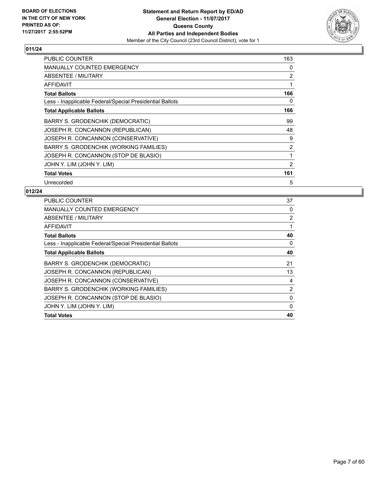

| <b>PUBLIC COUNTER</b>                                    | 163 |
|----------------------------------------------------------|-----|
| <b>MANUALLY COUNTED EMERGENCY</b>                        | 0   |
| ABSENTEE / MILITARY                                      | 2   |
| <b>AFFIDAVIT</b>                                         | 1   |
| <b>Total Ballots</b>                                     | 166 |
| Less - Inapplicable Federal/Special Presidential Ballots | 0   |
| <b>Total Applicable Ballots</b>                          | 166 |
| BARRY S. GRODENCHIK (DEMOCRATIC)                         | 99  |
| JOSEPH R. CONCANNON (REPUBLICAN)                         | 48  |
| JOSEPH R. CONCANNON (CONSERVATIVE)                       | 9   |
| BARRY S. GRODENCHIK (WORKING FAMILIES)                   | 2   |
| JOSEPH R. CONCANNON (STOP DE BLASIO)                     | 1   |
| JOHN Y. LIM (JOHN Y. LIM)                                | 2   |
| <b>Total Votes</b>                                       | 161 |
| Unrecorded                                               | 5   |

| <b>PUBLIC COUNTER</b>                                    | 37             |
|----------------------------------------------------------|----------------|
| <b>MANUALLY COUNTED EMERGENCY</b>                        | 0              |
| ABSENTEE / MILITARY                                      | $\overline{2}$ |
| AFFIDAVIT                                                |                |
| <b>Total Ballots</b>                                     | 40             |
| Less - Inapplicable Federal/Special Presidential Ballots | 0              |
| <b>Total Applicable Ballots</b>                          | 40             |
| BARRY S. GRODENCHIK (DEMOCRATIC)                         | 21             |
| JOSEPH R. CONCANNON (REPUBLICAN)                         | 13             |
| JOSEPH R. CONCANNON (CONSERVATIVE)                       | 4              |
| <b>BARRY S. GRODENCHIK (WORKING FAMILIES)</b>            | $\overline{2}$ |
| JOSEPH R. CONCANNON (STOP DE BLASIO)                     | 0              |
| JOHN Y. LIM (JOHN Y. LIM)                                | 0              |
| <b>Total Votes</b>                                       | 40             |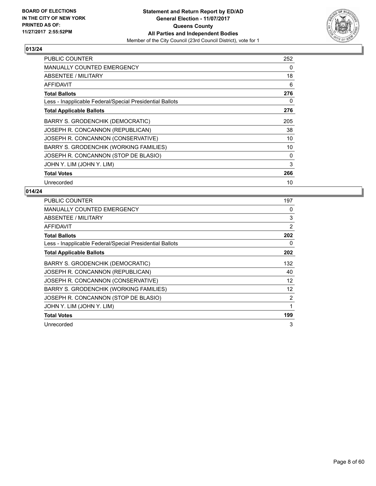

| <b>PUBLIC COUNTER</b>                                    | 252 |
|----------------------------------------------------------|-----|
| <b>MANUALLY COUNTED EMERGENCY</b>                        | 0   |
| ABSENTEE / MILITARY                                      | 18  |
| AFFIDAVIT                                                | 6   |
| <b>Total Ballots</b>                                     | 276 |
| Less - Inapplicable Federal/Special Presidential Ballots | 0   |
| <b>Total Applicable Ballots</b>                          | 276 |
| BARRY S. GRODENCHIK (DEMOCRATIC)                         | 205 |
| JOSEPH R. CONCANNON (REPUBLICAN)                         | 38  |
| JOSEPH R. CONCANNON (CONSERVATIVE)                       | 10  |
| BARRY S. GRODENCHIK (WORKING FAMILIES)                   | 10  |
| JOSEPH R. CONCANNON (STOP DE BLASIO)                     | 0   |
| JOHN Y. LIM (JOHN Y. LIM)                                | 3   |
| <b>Total Votes</b>                                       | 266 |
| Unrecorded                                               | 10  |

| <b>PUBLIC COUNTER</b>                                    | 197               |
|----------------------------------------------------------|-------------------|
| <b>MANUALLY COUNTED EMERGENCY</b>                        | 0                 |
| ABSENTEE / MILITARY                                      | 3                 |
| <b>AFFIDAVIT</b>                                         | 2                 |
| <b>Total Ballots</b>                                     | 202               |
| Less - Inapplicable Federal/Special Presidential Ballots | 0                 |
| <b>Total Applicable Ballots</b>                          | 202               |
| BARRY S. GRODENCHIK (DEMOCRATIC)                         | 132               |
| JOSEPH R. CONCANNON (REPUBLICAN)                         | 40                |
| JOSEPH R. CONCANNON (CONSERVATIVE)                       | 12                |
| BARRY S. GRODENCHIK (WORKING FAMILIES)                   | $12 \overline{ }$ |
| JOSEPH R. CONCANNON (STOP DE BLASIO)                     | 2                 |
| JOHN Y. LIM (JOHN Y. LIM)                                | 1                 |
| <b>Total Votes</b>                                       | 199               |
| Unrecorded                                               | 3                 |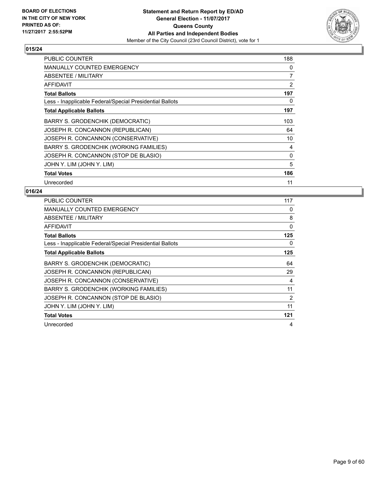

| <b>PUBLIC COUNTER</b>                                    | 188 |
|----------------------------------------------------------|-----|
| <b>MANUALLY COUNTED EMERGENCY</b>                        | 0   |
| ABSENTEE / MILITARY                                      | 7   |
| <b>AFFIDAVIT</b>                                         | 2   |
| <b>Total Ballots</b>                                     | 197 |
| Less - Inapplicable Federal/Special Presidential Ballots | 0   |
| <b>Total Applicable Ballots</b>                          | 197 |
| BARRY S. GRODENCHIK (DEMOCRATIC)                         | 103 |
| JOSEPH R. CONCANNON (REPUBLICAN)                         | 64  |
| JOSEPH R. CONCANNON (CONSERVATIVE)                       | 10  |
| BARRY S. GRODENCHIK (WORKING FAMILIES)                   | 4   |
| JOSEPH R. CONCANNON (STOP DE BLASIO)                     | 0   |
| JOHN Y. LIM (JOHN Y. LIM)                                | 5   |
| <b>Total Votes</b>                                       | 186 |
| Unrecorded                                               | 11  |

| <b>PUBLIC COUNTER</b>                                    | 117      |
|----------------------------------------------------------|----------|
| MANUALLY COUNTED EMERGENCY                               | 0        |
| ABSENTEE / MILITARY                                      | 8        |
| <b>AFFIDAVIT</b>                                         | $\Omega$ |
| <b>Total Ballots</b>                                     | 125      |
| Less - Inapplicable Federal/Special Presidential Ballots | 0        |
| <b>Total Applicable Ballots</b>                          | 125      |
| BARRY S. GRODENCHIK (DEMOCRATIC)                         | 64       |
| JOSEPH R. CONCANNON (REPUBLICAN)                         | 29       |
| JOSEPH R. CONCANNON (CONSERVATIVE)                       | 4        |
| BARRY S. GRODENCHIK (WORKING FAMILIES)                   | 11       |
| JOSEPH R. CONCANNON (STOP DE BLASIO)                     | 2        |
| JOHN Y. LIM (JOHN Y. LIM)                                | 11       |
| <b>Total Votes</b>                                       | 121      |
| Unrecorded                                               | 4        |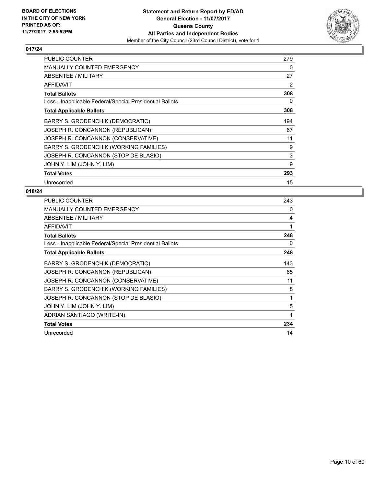

| <b>PUBLIC COUNTER</b>                                    | 279 |
|----------------------------------------------------------|-----|
| <b>MANUALLY COUNTED EMERGENCY</b>                        | 0   |
| ABSENTEE / MILITARY                                      | 27  |
| AFFIDAVIT                                                | 2   |
| <b>Total Ballots</b>                                     | 308 |
| Less - Inapplicable Federal/Special Presidential Ballots | 0   |
| <b>Total Applicable Ballots</b>                          | 308 |
| BARRY S. GRODENCHIK (DEMOCRATIC)                         | 194 |
| JOSEPH R. CONCANNON (REPUBLICAN)                         | 67  |
| JOSEPH R. CONCANNON (CONSERVATIVE)                       | 11  |
| BARRY S. GRODENCHIK (WORKING FAMILIES)                   | 9   |
| JOSEPH R. CONCANNON (STOP DE BLASIO)                     | 3   |
| JOHN Y. LIM (JOHN Y. LIM)                                | 9   |
| <b>Total Votes</b>                                       | 293 |
| Unrecorded                                               | 15  |

| PUBLIC COUNTER                                           | 243 |
|----------------------------------------------------------|-----|
| MANUALLY COUNTED EMERGENCY                               | 0   |
| ABSENTEE / MILITARY                                      | 4   |
| AFFIDAVIT                                                | 1   |
| <b>Total Ballots</b>                                     | 248 |
| Less - Inapplicable Federal/Special Presidential Ballots | 0   |
| <b>Total Applicable Ballots</b>                          | 248 |
| <b>BARRY S. GRODENCHIK (DEMOCRATIC)</b>                  | 143 |
| JOSEPH R. CONCANNON (REPUBLICAN)                         | 65  |
| JOSEPH R. CONCANNON (CONSERVATIVE)                       | 11  |
| BARRY S. GRODENCHIK (WORKING FAMILIES)                   | 8   |
| JOSEPH R. CONCANNON (STOP DE BLASIO)                     | 1   |
| JOHN Y. LIM (JOHN Y. LIM)                                | 5   |
| ADRIAN SANTIAGO (WRITE-IN)                               | 1   |
| <b>Total Votes</b>                                       | 234 |
| Unrecorded                                               | 14  |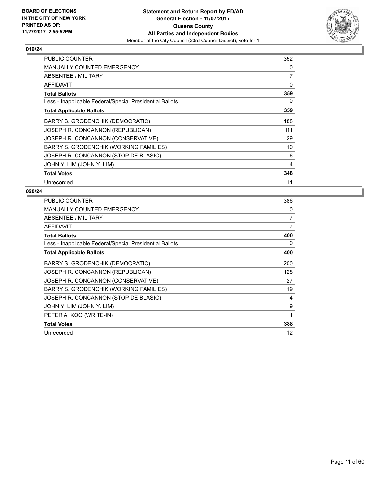

| <b>PUBLIC COUNTER</b>                                    | 352 |
|----------------------------------------------------------|-----|
| <b>MANUALLY COUNTED EMERGENCY</b>                        | 0   |
| ABSENTEE / MILITARY                                      | 7   |
| AFFIDAVIT                                                | 0   |
| <b>Total Ballots</b>                                     | 359 |
| Less - Inapplicable Federal/Special Presidential Ballots | 0   |
| <b>Total Applicable Ballots</b>                          | 359 |
| BARRY S. GRODENCHIK (DEMOCRATIC)                         | 188 |
| JOSEPH R. CONCANNON (REPUBLICAN)                         | 111 |
| JOSEPH R. CONCANNON (CONSERVATIVE)                       | 29  |
| BARRY S. GRODENCHIK (WORKING FAMILIES)                   | 10  |
| JOSEPH R. CONCANNON (STOP DE BLASIO)                     | 6   |
| JOHN Y. LIM (JOHN Y. LIM)                                | 4   |
| <b>Total Votes</b>                                       | 348 |
| Unrecorded                                               | 11  |

| PUBLIC COUNTER                                           | 386            |
|----------------------------------------------------------|----------------|
| MANUALLY COUNTED EMERGENCY                               | 0              |
| ABSENTEE / MILITARY                                      | $\overline{7}$ |
| <b>AFFIDAVIT</b>                                         | $\overline{7}$ |
| <b>Total Ballots</b>                                     | 400            |
| Less - Inapplicable Federal/Special Presidential Ballots | 0              |
| <b>Total Applicable Ballots</b>                          | 400            |
| BARRY S. GRODENCHIK (DEMOCRATIC)                         | 200            |
| JOSEPH R. CONCANNON (REPUBLICAN)                         | 128            |
| JOSEPH R. CONCANNON (CONSERVATIVE)                       | 27             |
| BARRY S. GRODENCHIK (WORKING FAMILIES)                   | 19             |
| JOSEPH R. CONCANNON (STOP DE BLASIO)                     | 4              |
| JOHN Y. LIM (JOHN Y. LIM)                                | 9              |
| PETER A. KOO (WRITE-IN)                                  | 1              |
| <b>Total Votes</b>                                       | 388            |
| Unrecorded                                               | 12             |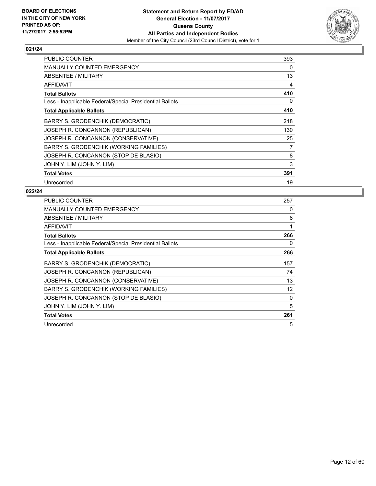

| <b>PUBLIC COUNTER</b>                                    | 393 |
|----------------------------------------------------------|-----|
| <b>MANUALLY COUNTED EMERGENCY</b>                        | 0   |
| ABSENTEE / MILITARY                                      | 13  |
| AFFIDAVIT                                                | 4   |
| <b>Total Ballots</b>                                     | 410 |
| Less - Inapplicable Federal/Special Presidential Ballots | 0   |
| <b>Total Applicable Ballots</b>                          | 410 |
| BARRY S. GRODENCHIK (DEMOCRATIC)                         | 218 |
| JOSEPH R. CONCANNON (REPUBLICAN)                         | 130 |
| JOSEPH R. CONCANNON (CONSERVATIVE)                       | 25  |
| BARRY S. GRODENCHIK (WORKING FAMILIES)                   | 7   |
| JOSEPH R. CONCANNON (STOP DE BLASIO)                     | 8   |
| JOHN Y. LIM (JOHN Y. LIM)                                | 3   |
| <b>Total Votes</b>                                       | 391 |
| Unrecorded                                               | 19  |

| <b>PUBLIC COUNTER</b>                                    | 257 |
|----------------------------------------------------------|-----|
| <b>MANUALLY COUNTED EMERGENCY</b>                        | 0   |
| ABSENTEE / MILITARY                                      | 8   |
| <b>AFFIDAVIT</b>                                         | 1   |
| <b>Total Ballots</b>                                     | 266 |
| Less - Inapplicable Federal/Special Presidential Ballots | 0   |
| <b>Total Applicable Ballots</b>                          | 266 |
| BARRY S. GRODENCHIK (DEMOCRATIC)                         | 157 |
| JOSEPH R. CONCANNON (REPUBLICAN)                         | 74  |
| JOSEPH R. CONCANNON (CONSERVATIVE)                       | 13  |
| BARRY S. GRODENCHIK (WORKING FAMILIES)                   | 12  |
| JOSEPH R. CONCANNON (STOP DE BLASIO)                     | 0   |
| JOHN Y. LIM (JOHN Y. LIM)                                | 5   |
| <b>Total Votes</b>                                       | 261 |
| Unrecorded                                               | 5   |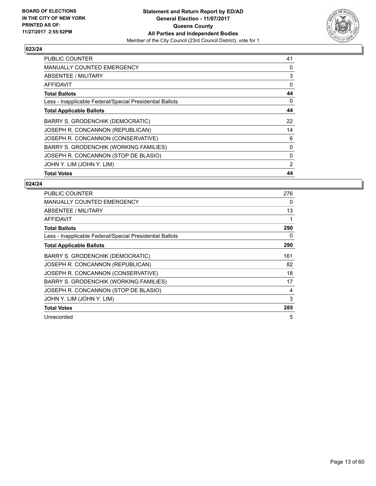

| <b>PUBLIC COUNTER</b>                                    | 41 |
|----------------------------------------------------------|----|
| <b>MANUALLY COUNTED EMERGENCY</b>                        | 0  |
| <b>ABSENTEE / MILITARY</b>                               | 3  |
| <b>AFFIDAVIT</b>                                         | 0  |
| <b>Total Ballots</b>                                     | 44 |
| Less - Inapplicable Federal/Special Presidential Ballots | 0  |
| <b>Total Applicable Ballots</b>                          | 44 |
| BARRY S. GRODENCHIK (DEMOCRATIC)                         | 22 |
| JOSEPH R. CONCANNON (REPUBLICAN)                         | 14 |
| JOSEPH R. CONCANNON (CONSERVATIVE)                       | 6  |
| <b>BARRY S. GRODENCHIK (WORKING FAMILIES)</b>            | 0  |
| JOSEPH R. CONCANNON (STOP DE BLASIO)                     | 0  |
| JOHN Y. LIM (JOHN Y. LIM)                                | 2  |
| <b>Total Votes</b>                                       | 44 |

| <b>PUBLIC COUNTER</b>                                    | 276 |
|----------------------------------------------------------|-----|
| <b>MANUALLY COUNTED EMERGENCY</b>                        | 0   |
| ABSENTEE / MILITARY                                      | 13  |
| <b>AFFIDAVIT</b>                                         | 1   |
| <b>Total Ballots</b>                                     | 290 |
| Less - Inapplicable Federal/Special Presidential Ballots | 0   |
| <b>Total Applicable Ballots</b>                          | 290 |
| BARRY S. GRODENCHIK (DEMOCRATIC)                         | 161 |
| JOSEPH R. CONCANNON (REPUBLICAN)                         | 82  |
| JOSEPH R. CONCANNON (CONSERVATIVE)                       | 18  |
| BARRY S. GRODENCHIK (WORKING FAMILIES)                   | 17  |
| JOSEPH R. CONCANNON (STOP DE BLASIO)                     | 4   |
| JOHN Y. LIM (JOHN Y. LIM)                                | 3   |
| <b>Total Votes</b>                                       | 285 |
| Unrecorded                                               | 5   |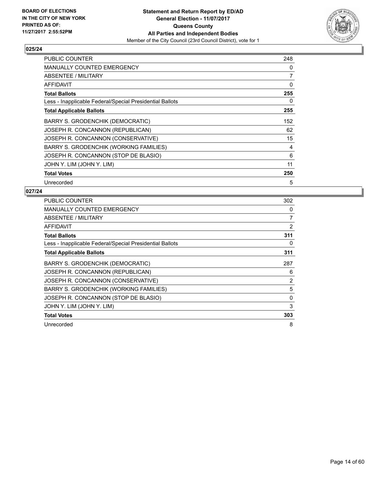

| <b>PUBLIC COUNTER</b>                                    | 248 |
|----------------------------------------------------------|-----|
| MANUALLY COUNTED EMERGENCY                               | 0   |
| ABSENTEE / MILITARY                                      | 7   |
| AFFIDAVIT                                                | 0   |
| <b>Total Ballots</b>                                     | 255 |
| Less - Inapplicable Federal/Special Presidential Ballots | 0   |
| <b>Total Applicable Ballots</b>                          | 255 |
| BARRY S. GRODENCHIK (DEMOCRATIC)                         | 152 |
| JOSEPH R. CONCANNON (REPUBLICAN)                         | 62  |
| JOSEPH R. CONCANNON (CONSERVATIVE)                       | 15  |
| BARRY S. GRODENCHIK (WORKING FAMILIES)                   | 4   |
| JOSEPH R. CONCANNON (STOP DE BLASIO)                     | 6   |
| JOHN Y. LIM (JOHN Y. LIM)                                | 11  |
| <b>Total Votes</b>                                       | 250 |
| Unrecorded                                               | 5   |

| <b>PUBLIC COUNTER</b>                                    | 302 |
|----------------------------------------------------------|-----|
| MANUALLY COUNTED EMERGENCY                               | 0   |
| ABSENTEE / MILITARY                                      | 7   |
| <b>AFFIDAVIT</b>                                         | 2   |
| <b>Total Ballots</b>                                     | 311 |
| Less - Inapplicable Federal/Special Presidential Ballots | 0   |
| <b>Total Applicable Ballots</b>                          | 311 |
| BARRY S. GRODENCHIK (DEMOCRATIC)                         | 287 |
| JOSEPH R. CONCANNON (REPUBLICAN)                         | 6   |
| JOSEPH R. CONCANNON (CONSERVATIVE)                       | 2   |
| BARRY S. GRODENCHIK (WORKING FAMILIES)                   | 5   |
| JOSEPH R. CONCANNON (STOP DE BLASIO)                     | 0   |
| JOHN Y. LIM (JOHN Y. LIM)                                | 3   |
| <b>Total Votes</b>                                       | 303 |
| Unrecorded                                               | 8   |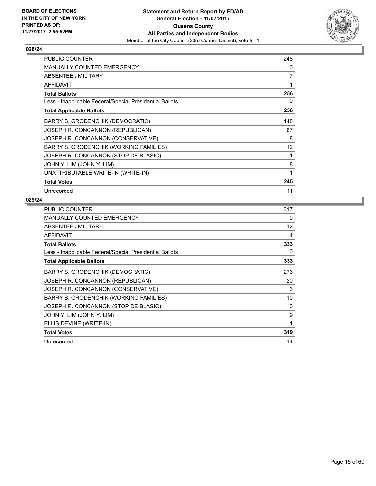

| <b>PUBLIC COUNTER</b>                                    | 248 |
|----------------------------------------------------------|-----|
| <b>MANUALLY COUNTED EMERGENCY</b>                        | 0   |
| ABSENTEE / MILITARY                                      | 7   |
| <b>AFFIDAVIT</b>                                         | 1   |
| <b>Total Ballots</b>                                     | 256 |
| Less - Inapplicable Federal/Special Presidential Ballots | 0   |
| <b>Total Applicable Ballots</b>                          | 256 |
| BARRY S. GRODENCHIK (DEMOCRATIC)                         | 148 |
| JOSEPH R. CONCANNON (REPUBLICAN)                         | 67  |
| JOSEPH R. CONCANNON (CONSERVATIVE)                       | 8   |
| BARRY S. GRODENCHIK (WORKING FAMILIES)                   | 12  |
| JOSEPH R. CONCANNON (STOP DE BLASIO)                     | 1   |
| JOHN Y. LIM (JOHN Y. LIM)                                | 8   |
| UNATTRIBUTABLE WRITE-IN (WRITE-IN)                       | 1   |
| <b>Total Votes</b>                                       | 245 |
| Unrecorded                                               | 11  |

| <b>PUBLIC COUNTER</b>                                    | 317 |
|----------------------------------------------------------|-----|
| <b>MANUALLY COUNTED EMERGENCY</b>                        | 0   |
| ABSENTEE / MILITARY                                      | 12  |
| <b>AFFIDAVIT</b>                                         | 4   |
| <b>Total Ballots</b>                                     | 333 |
| Less - Inapplicable Federal/Special Presidential Ballots | 0   |
| <b>Total Applicable Ballots</b>                          | 333 |
| BARRY S. GRODENCHIK (DEMOCRATIC)                         | 276 |
| JOSEPH R. CONCANNON (REPUBLICAN)                         | 20  |
| JOSEPH R. CONCANNON (CONSERVATIVE)                       | 3   |
| <b>BARRY S. GRODENCHIK (WORKING FAMILIES)</b>            | 10  |
| JOSEPH R. CONCANNON (STOP DE BLASIO)                     | 0   |
| JOHN Y. LIM (JOHN Y. LIM)                                | 9   |
| ELLIS DEVINE (WRITE-IN)                                  | 1   |
| <b>Total Votes</b>                                       | 319 |
| Unrecorded                                               | 14  |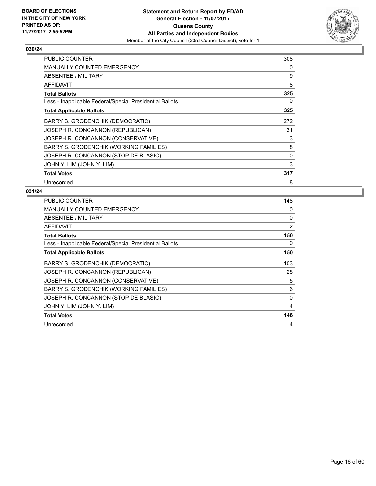

| <b>PUBLIC COUNTER</b>                                    | 308 |
|----------------------------------------------------------|-----|
| <b>MANUALLY COUNTED EMERGENCY</b>                        | 0   |
| ABSENTEE / MILITARY                                      | 9   |
| AFFIDAVIT                                                | 8   |
| <b>Total Ballots</b>                                     | 325 |
| Less - Inapplicable Federal/Special Presidential Ballots | 0   |
| <b>Total Applicable Ballots</b>                          | 325 |
| BARRY S. GRODENCHIK (DEMOCRATIC)                         | 272 |
| JOSEPH R. CONCANNON (REPUBLICAN)                         | 31  |
| JOSEPH R. CONCANNON (CONSERVATIVE)                       | 3   |
| BARRY S. GRODENCHIK (WORKING FAMILIES)                   | 8   |
| JOSEPH R. CONCANNON (STOP DE BLASIO)                     | 0   |
| JOHN Y. LIM (JOHN Y. LIM)                                | 3   |
| <b>Total Votes</b>                                       | 317 |
| Unrecorded                                               | 8   |

| <b>PUBLIC COUNTER</b>                                    | 148 |
|----------------------------------------------------------|-----|
| <b>MANUALLY COUNTED EMERGENCY</b>                        | 0   |
| ABSENTEE / MILITARY                                      | 0   |
| <b>AFFIDAVIT</b>                                         | 2   |
| <b>Total Ballots</b>                                     | 150 |
| Less - Inapplicable Federal/Special Presidential Ballots | 0   |
| <b>Total Applicable Ballots</b>                          | 150 |
| BARRY S. GRODENCHIK (DEMOCRATIC)                         | 103 |
| JOSEPH R. CONCANNON (REPUBLICAN)                         | 28  |
| JOSEPH R. CONCANNON (CONSERVATIVE)                       | 5   |
| BARRY S. GRODENCHIK (WORKING FAMILIES)                   | 6   |
| JOSEPH R. CONCANNON (STOP DE BLASIO)                     | 0   |
| JOHN Y. LIM (JOHN Y. LIM)                                | 4   |
| <b>Total Votes</b>                                       | 146 |
| Unrecorded                                               | 4   |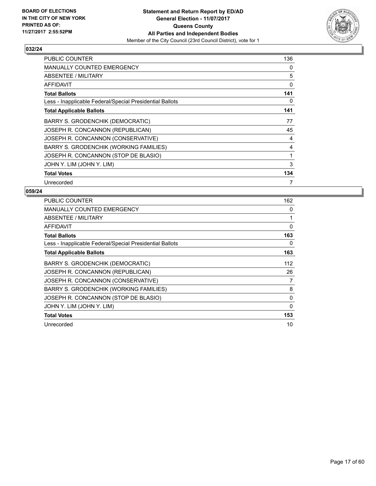

| <b>PUBLIC COUNTER</b>                                    | 136 |
|----------------------------------------------------------|-----|
| MANUALLY COUNTED EMERGENCY                               | 0   |
| ABSENTEE / MILITARY                                      | 5   |
| AFFIDAVIT                                                | 0   |
| <b>Total Ballots</b>                                     | 141 |
| Less - Inapplicable Federal/Special Presidential Ballots | 0   |
| <b>Total Applicable Ballots</b>                          | 141 |
| BARRY S. GRODENCHIK (DEMOCRATIC)                         | 77  |
| JOSEPH R. CONCANNON (REPUBLICAN)                         | 45  |
| JOSEPH R. CONCANNON (CONSERVATIVE)                       | 4   |
| BARRY S. GRODENCHIK (WORKING FAMILIES)                   | 4   |
| JOSEPH R. CONCANNON (STOP DE BLASIO)                     | 1   |
| JOHN Y. LIM (JOHN Y. LIM)                                | 3   |
| <b>Total Votes</b>                                       | 134 |
| Unrecorded                                               | 7   |

| <b>PUBLIC COUNTER</b>                                    | 162 |
|----------------------------------------------------------|-----|
| <b>MANUALLY COUNTED EMERGENCY</b>                        | 0   |
| ABSENTEE / MILITARY                                      | 1   |
| <b>AFFIDAVIT</b>                                         | 0   |
| <b>Total Ballots</b>                                     | 163 |
| Less - Inapplicable Federal/Special Presidential Ballots | 0   |
| <b>Total Applicable Ballots</b>                          | 163 |
| BARRY S. GRODENCHIK (DEMOCRATIC)                         | 112 |
| JOSEPH R. CONCANNON (REPUBLICAN)                         | 26  |
| JOSEPH R. CONCANNON (CONSERVATIVE)                       | 7   |
| <b>BARRY S. GRODENCHIK (WORKING FAMILIES)</b>            | 8   |
| JOSEPH R. CONCANNON (STOP DE BLASIO)                     | 0   |
| JOHN Y. LIM (JOHN Y. LIM)                                | 0   |
| <b>Total Votes</b>                                       | 153 |
| Unrecorded                                               | 10  |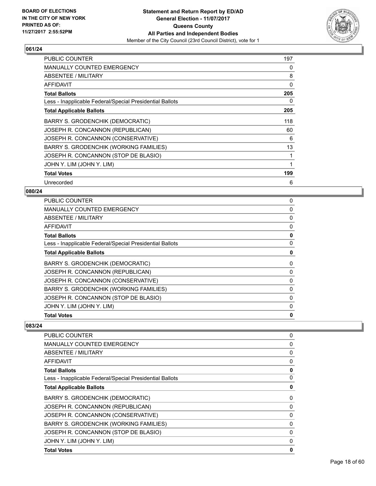

| <b>PUBLIC COUNTER</b>                                    | 197 |
|----------------------------------------------------------|-----|
| <b>MANUALLY COUNTED EMERGENCY</b>                        | 0   |
| ABSENTEE / MILITARY                                      | 8   |
| <b>AFFIDAVIT</b>                                         | 0   |
| <b>Total Ballots</b>                                     | 205 |
| Less - Inapplicable Federal/Special Presidential Ballots | 0   |
| <b>Total Applicable Ballots</b>                          | 205 |
| BARRY S. GRODENCHIK (DEMOCRATIC)                         | 118 |
| JOSEPH R. CONCANNON (REPUBLICAN)                         | 60  |
| JOSEPH R. CONCANNON (CONSERVATIVE)                       | 6   |
| <b>BARRY S. GRODENCHIK (WORKING FAMILIES)</b>            | 13  |
| JOSEPH R. CONCANNON (STOP DE BLASIO)                     | 1   |
| JOHN Y. LIM (JOHN Y. LIM)                                | 1   |
| <b>Total Votes</b>                                       | 199 |
| Unrecorded                                               | 6   |

#### **080/24**

| PUBLIC COUNTER                                           | 0 |
|----------------------------------------------------------|---|
| MANUALLY COUNTED EMERGENCY                               | 0 |
| ABSENTEE / MILITARY                                      | 0 |
| <b>AFFIDAVIT</b>                                         | 0 |
| <b>Total Ballots</b>                                     | 0 |
| Less - Inapplicable Federal/Special Presidential Ballots | 0 |
| <b>Total Applicable Ballots</b>                          | 0 |
| BARRY S. GRODENCHIK (DEMOCRATIC)                         | 0 |
| JOSEPH R. CONCANNON (REPUBLICAN)                         | 0 |
| JOSEPH R. CONCANNON (CONSERVATIVE)                       | 0 |
| BARRY S. GRODENCHIK (WORKING FAMILIES)                   | 0 |
| JOSEPH R. CONCANNON (STOP DE BLASIO)                     | 0 |
| JOHN Y. LIM (JOHN Y. LIM)                                | 0 |
| <b>Total Votes</b>                                       | 0 |
|                                                          |   |

| <b>PUBLIC COUNTER</b>                                    | 0        |
|----------------------------------------------------------|----------|
| <b>MANUALLY COUNTED EMERGENCY</b>                        | 0        |
| ABSENTEE / MILITARY                                      | 0        |
| AFFIDAVIT                                                | 0        |
| <b>Total Ballots</b>                                     | 0        |
| Less - Inapplicable Federal/Special Presidential Ballots | 0        |
| <b>Total Applicable Ballots</b>                          | 0        |
| BARRY S. GRODENCHIK (DEMOCRATIC)                         | 0        |
| JOSEPH R. CONCANNON (REPUBLICAN)                         | 0        |
| JOSEPH R. CONCANNON (CONSERVATIVE)                       | $\Omega$ |
| BARRY S. GRODENCHIK (WORKING FAMILIES)                   | 0        |
| JOSEPH R. CONCANNON (STOP DE BLASIO)                     | 0        |
| JOHN Y. LIM (JOHN Y. LIM)                                | 0        |
| <b>Total Votes</b>                                       | 0        |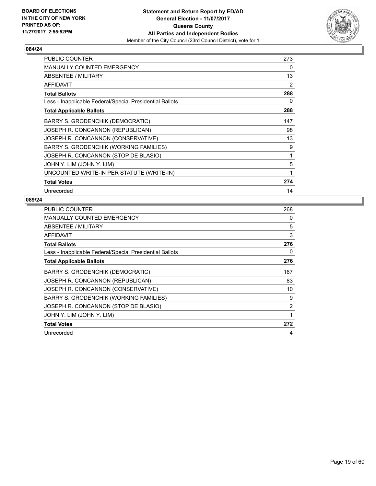

| <b>PUBLIC COUNTER</b>                                    | 273            |
|----------------------------------------------------------|----------------|
| MANUALLY COUNTED EMERGENCY                               | 0              |
| ABSENTEE / MILITARY                                      | 13             |
| <b>AFFIDAVIT</b>                                         | $\overline{2}$ |
| <b>Total Ballots</b>                                     | 288            |
| Less - Inapplicable Federal/Special Presidential Ballots | 0              |
| <b>Total Applicable Ballots</b>                          | 288            |
| BARRY S. GRODENCHIK (DEMOCRATIC)                         | 147            |
| JOSEPH R. CONCANNON (REPUBLICAN)                         | 98             |
| JOSEPH R. CONCANNON (CONSERVATIVE)                       | 13             |
| BARRY S. GRODENCHIK (WORKING FAMILIES)                   | 9              |
| JOSEPH R. CONCANNON (STOP DE BLASIO)                     | 1              |
| JOHN Y. LIM (JOHN Y. LIM)                                | 5              |
| UNCOUNTED WRITE-IN PER STATUTE (WRITE-IN)                | 1              |
| <b>Total Votes</b>                                       | 274            |
| Unrecorded                                               | 14             |

| <b>PUBLIC COUNTER</b>                                    | 268 |
|----------------------------------------------------------|-----|
| MANUALLY COUNTED EMERGENCY                               | 0   |
| ABSENTEE / MILITARY                                      | 5   |
| <b>AFFIDAVIT</b>                                         | 3   |
| <b>Total Ballots</b>                                     | 276 |
| Less - Inapplicable Federal/Special Presidential Ballots | 0   |
| <b>Total Applicable Ballots</b>                          | 276 |
| <b>BARRY S. GRODENCHIK (DEMOCRATIC)</b>                  | 167 |
| JOSEPH R. CONCANNON (REPUBLICAN)                         | 83  |
| JOSEPH R. CONCANNON (CONSERVATIVE)                       | 10  |
| <b>BARRY S. GRODENCHIK (WORKING FAMILIES)</b>            | 9   |
| JOSEPH R. CONCANNON (STOP DE BLASIO)                     | 2   |
| JOHN Y. LIM (JOHN Y. LIM)                                | 1   |
| <b>Total Votes</b>                                       | 272 |
| Unrecorded                                               | 4   |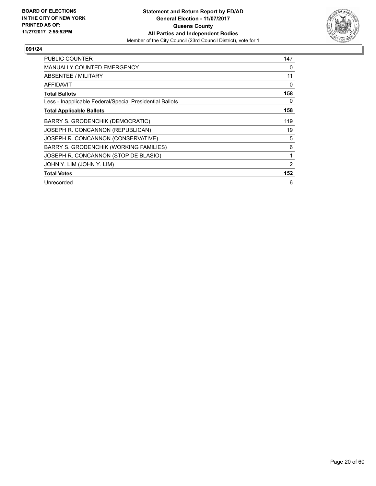

| <b>PUBLIC COUNTER</b>                                    | 147 |
|----------------------------------------------------------|-----|
| <b>MANUALLY COUNTED EMERGENCY</b>                        | 0   |
| ABSENTEE / MILITARY                                      | 11  |
| AFFIDAVIT                                                | 0   |
| <b>Total Ballots</b>                                     | 158 |
| Less - Inapplicable Federal/Special Presidential Ballots | 0   |
| <b>Total Applicable Ballots</b>                          | 158 |
| <b>BARRY S. GRODENCHIK (DEMOCRATIC)</b>                  | 119 |
| JOSEPH R. CONCANNON (REPUBLICAN)                         | 19  |
| JOSEPH R. CONCANNON (CONSERVATIVE)                       | 5   |
| BARRY S. GRODENCHIK (WORKING FAMILIES)                   | 6   |
| JOSEPH R. CONCANNON (STOP DE BLASIO)                     | 1   |
| JOHN Y. LIM (JOHN Y. LIM)                                | 2   |
| <b>Total Votes</b>                                       | 152 |
| Unrecorded                                               | 6   |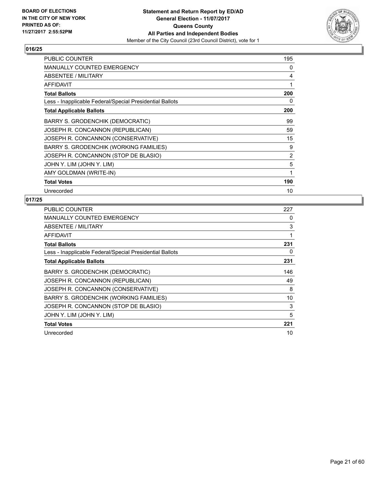

| <b>PUBLIC COUNTER</b>                                    | 195 |
|----------------------------------------------------------|-----|
| <b>MANUALLY COUNTED EMERGENCY</b>                        | 0   |
| ABSENTEE / MILITARY                                      | 4   |
| <b>AFFIDAVIT</b>                                         | 1   |
| <b>Total Ballots</b>                                     | 200 |
| Less - Inapplicable Federal/Special Presidential Ballots | 0   |
| <b>Total Applicable Ballots</b>                          | 200 |
| BARRY S. GRODENCHIK (DEMOCRATIC)                         | 99  |
| JOSEPH R. CONCANNON (REPUBLICAN)                         | 59  |
| JOSEPH R. CONCANNON (CONSERVATIVE)                       | 15  |
| BARRY S. GRODENCHIK (WORKING FAMILIES)                   | 9   |
| JOSEPH R. CONCANNON (STOP DE BLASIO)                     | 2   |
| JOHN Y. LIM (JOHN Y. LIM)                                | 5   |
| AMY GOLDMAN (WRITE-IN)                                   | 1   |
| <b>Total Votes</b>                                       | 190 |
| Unrecorded                                               | 10  |

| <b>PUBLIC COUNTER</b>                                    | 227 |
|----------------------------------------------------------|-----|
| <b>MANUALLY COUNTED EMERGENCY</b>                        | 0   |
| ABSENTEE / MILITARY                                      | 3   |
| AFFIDAVIT                                                | 1   |
| <b>Total Ballots</b>                                     | 231 |
| Less - Inapplicable Federal/Special Presidential Ballots | 0   |
| <b>Total Applicable Ballots</b>                          | 231 |
| BARRY S. GRODENCHIK (DEMOCRATIC)                         | 146 |
| JOSEPH R. CONCANNON (REPUBLICAN)                         | 49  |
| JOSEPH R. CONCANNON (CONSERVATIVE)                       | 8   |
| <b>BARRY S. GRODENCHIK (WORKING FAMILIES)</b>            | 10  |
| JOSEPH R. CONCANNON (STOP DE BLASIO)                     | 3   |
| JOHN Y. LIM (JOHN Y. LIM)                                | 5   |
| <b>Total Votes</b>                                       | 221 |
| Unrecorded                                               | 10  |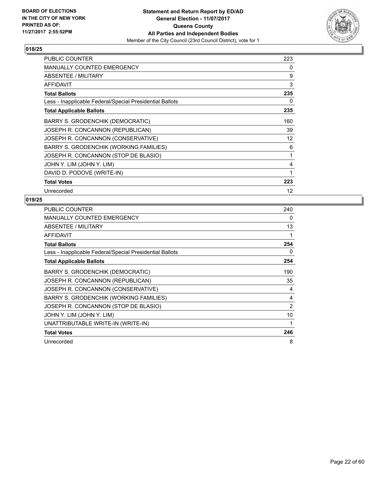

| <b>PUBLIC COUNTER</b>                                    | 223 |
|----------------------------------------------------------|-----|
| <b>MANUALLY COUNTED EMERGENCY</b>                        | 0   |
| ABSENTEE / MILITARY                                      | 9   |
| <b>AFFIDAVIT</b>                                         | 3   |
| <b>Total Ballots</b>                                     | 235 |
| Less - Inapplicable Federal/Special Presidential Ballots | 0   |
| <b>Total Applicable Ballots</b>                          | 235 |
| <b>BARRY S. GRODENCHIK (DEMOCRATIC)</b>                  | 160 |
| JOSEPH R. CONCANNON (REPUBLICAN)                         | 39  |
| JOSEPH R. CONCANNON (CONSERVATIVE)                       | 12  |
| BARRY S. GRODENCHIK (WORKING FAMILIES)                   | 6   |
| JOSEPH R. CONCANNON (STOP DE BLASIO)                     | 1   |
| JOHN Y. LIM (JOHN Y. LIM)                                | 4   |
| DAVID D. PODOVE (WRITE-IN)                               | 1   |
| <b>Total Votes</b>                                       | 223 |
| Unrecorded                                               | 12  |

| <b>PUBLIC COUNTER</b>                                    | 240 |
|----------------------------------------------------------|-----|
| <b>MANUALLY COUNTED EMERGENCY</b>                        | 0   |
| ABSENTEE / MILITARY                                      | 13  |
| <b>AFFIDAVIT</b>                                         | 1   |
| <b>Total Ballots</b>                                     | 254 |
| Less - Inapplicable Federal/Special Presidential Ballots | 0   |
| <b>Total Applicable Ballots</b>                          | 254 |
| <b>BARRY S. GRODENCHIK (DEMOCRATIC)</b>                  | 190 |
| JOSEPH R. CONCANNON (REPUBLICAN)                         | 35  |
| JOSEPH R. CONCANNON (CONSERVATIVE)                       | 4   |
| BARRY S. GRODENCHIK (WORKING FAMILIES)                   | 4   |
| JOSEPH R. CONCANNON (STOP DE BLASIO)                     | 2   |
| JOHN Y. LIM (JOHN Y. LIM)                                | 10  |
| UNATTRIBUTABLE WRITE-IN (WRITE-IN)                       | 1   |
| <b>Total Votes</b>                                       | 246 |
| Unrecorded                                               | 8   |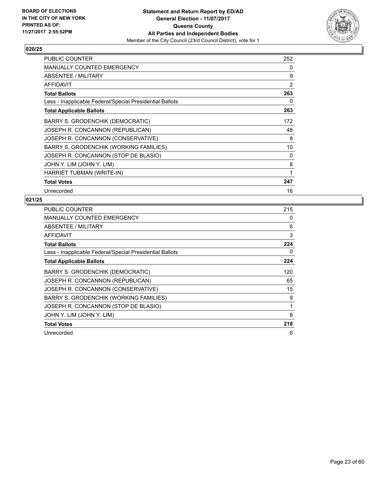

| PUBLIC COUNTER                                           | 252            |
|----------------------------------------------------------|----------------|
| <b>MANUALLY COUNTED EMERGENCY</b>                        | 0              |
| ABSENTEE / MILITARY                                      | 9              |
| <b>AFFIDAVIT</b>                                         | $\overline{2}$ |
| <b>Total Ballots</b>                                     | 263            |
| Less - Inapplicable Federal/Special Presidential Ballots | 0              |
| <b>Total Applicable Ballots</b>                          | 263            |
| <b>BARRY S. GRODENCHIK (DEMOCRATIC)</b>                  | 172            |
| JOSEPH R. CONCANNON (REPUBLICAN)                         | 48             |
| JOSEPH R. CONCANNON (CONSERVATIVE)                       | 8              |
| BARRY S. GRODENCHIK (WORKING FAMILIES)                   | 10             |
| JOSEPH R. CONCANNON (STOP DE BLASIO)                     | 0              |
| JOHN Y. LIM (JOHN Y. LIM)                                | 8              |
| HARRIET TUBMAN (WRITE-IN)                                | 1              |
| <b>Total Votes</b>                                       | 247            |
| Unrecorded                                               | 16             |

| PUBLIC COUNTER                                           | 215 |
|----------------------------------------------------------|-----|
| MANUALLY COUNTED EMERGENCY                               | 0   |
| <b>ABSENTEE / MILITARY</b>                               | 6   |
| AFFIDAVIT                                                | 3   |
| <b>Total Ballots</b>                                     | 224 |
| Less - Inapplicable Federal/Special Presidential Ballots | 0   |
| <b>Total Applicable Ballots</b>                          | 224 |
| BARRY S. GRODENCHIK (DEMOCRATIC)                         | 120 |
| JOSEPH R. CONCANNON (REPUBLICAN)                         | 65  |
| JOSEPH R. CONCANNON (CONSERVATIVE)                       | 15  |
| <b>BARRY S. GRODENCHIK (WORKING FAMILIES)</b>            | 9   |
| JOSEPH R. CONCANNON (STOP DE BLASIO)                     | 1   |
| JOHN Y. LIM (JOHN Y. LIM)                                | 8   |
| <b>Total Votes</b>                                       | 218 |
| Unrecorded                                               | 6   |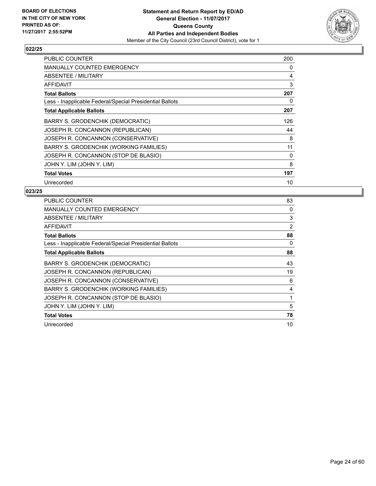

| <b>PUBLIC COUNTER</b>                                    | 200 |
|----------------------------------------------------------|-----|
| MANUALLY COUNTED EMERGENCY                               | 0   |
| ABSENTEE / MILITARY                                      | 4   |
| AFFIDAVIT                                                | 3   |
| <b>Total Ballots</b>                                     | 207 |
| Less - Inapplicable Federal/Special Presidential Ballots | 0   |
| <b>Total Applicable Ballots</b>                          | 207 |
| BARRY S. GRODENCHIK (DEMOCRATIC)                         | 126 |
| JOSEPH R. CONCANNON (REPUBLICAN)                         | 44  |
| JOSEPH R. CONCANNON (CONSERVATIVE)                       | 8   |
| BARRY S. GRODENCHIK (WORKING FAMILIES)                   | 11  |
| JOSEPH R. CONCANNON (STOP DE BLASIO)                     | 0   |
| JOHN Y. LIM (JOHN Y. LIM)                                | 8   |
| <b>Total Votes</b>                                       | 197 |
| Unrecorded                                               | 10  |

| <b>PUBLIC COUNTER</b>                                    | 83 |
|----------------------------------------------------------|----|
| <b>MANUALLY COUNTED EMERGENCY</b>                        | 0  |
| ABSENTEE / MILITARY                                      | 3  |
| AFFIDAVIT                                                | 2  |
| <b>Total Ballots</b>                                     | 88 |
| Less - Inapplicable Federal/Special Presidential Ballots | 0  |
| <b>Total Applicable Ballots</b>                          | 88 |
| BARRY S. GRODENCHIK (DEMOCRATIC)                         | 43 |
| JOSEPH R. CONCANNON (REPUBLICAN)                         | 19 |
| JOSEPH R. CONCANNON (CONSERVATIVE)                       | 6  |
| BARRY S. GRODENCHIK (WORKING FAMILIES)                   | 4  |
| JOSEPH R. CONCANNON (STOP DE BLASIO)                     | 1  |
| JOHN Y. LIM (JOHN Y. LIM)                                | 5  |
| <b>Total Votes</b>                                       | 78 |
| Unrecorded                                               | 10 |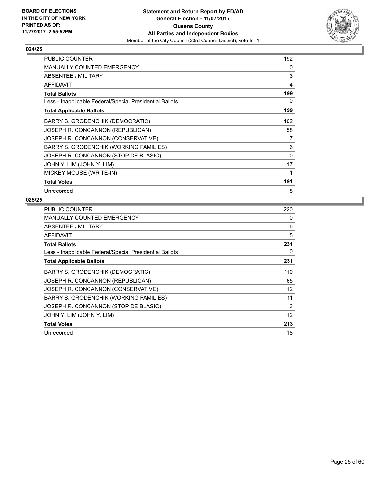

| PUBLIC COUNTER                                           | 192      |
|----------------------------------------------------------|----------|
| <b>MANUALLY COUNTED EMERGENCY</b>                        | 0        |
| ABSENTEE / MILITARY                                      | 3        |
| <b>AFFIDAVIT</b>                                         | 4        |
| <b>Total Ballots</b>                                     | 199      |
| Less - Inapplicable Federal/Special Presidential Ballots | 0        |
| <b>Total Applicable Ballots</b>                          | 199      |
| <b>BARRY S. GRODENCHIK (DEMOCRATIC)</b>                  | 102      |
| JOSEPH R. CONCANNON (REPUBLICAN)                         | 58       |
| JOSEPH R. CONCANNON (CONSERVATIVE)                       | 7        |
| BARRY S. GRODENCHIK (WORKING FAMILIES)                   | 6        |
| JOSEPH R. CONCANNON (STOP DE BLASIO)                     | $\Omega$ |
| JOHN Y. LIM (JOHN Y. LIM)                                | 17       |
| MICKEY MOUSE (WRITE-IN)                                  |          |
| <b>Total Votes</b>                                       | 191      |
| Unrecorded                                               | 8        |

| <b>PUBLIC COUNTER</b>                                    | 220 |
|----------------------------------------------------------|-----|
| <b>MANUALLY COUNTED EMERGENCY</b>                        | 0   |
| ABSENTEE / MILITARY                                      | 6   |
| <b>AFFIDAVIT</b>                                         | 5   |
| <b>Total Ballots</b>                                     | 231 |
| Less - Inapplicable Federal/Special Presidential Ballots | 0   |
| <b>Total Applicable Ballots</b>                          | 231 |
| BARRY S. GRODENCHIK (DEMOCRATIC)                         | 110 |
| JOSEPH R. CONCANNON (REPUBLICAN)                         | 65  |
| JOSEPH R. CONCANNON (CONSERVATIVE)                       | 12  |
| BARRY S. GRODENCHIK (WORKING FAMILIES)                   | 11  |
| JOSEPH R. CONCANNON (STOP DE BLASIO)                     | 3   |
| JOHN Y. LIM (JOHN Y. LIM)                                | 12  |
| <b>Total Votes</b>                                       | 213 |
| Unrecorded                                               | 18  |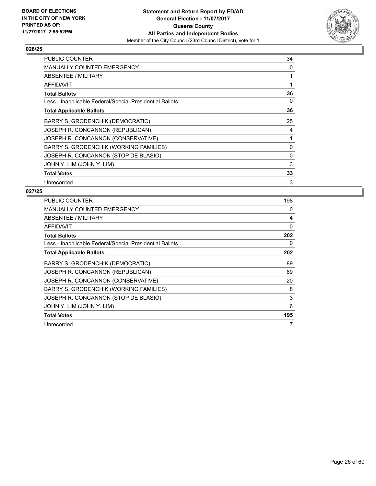

| <b>PUBLIC COUNTER</b>                                    | 34 |
|----------------------------------------------------------|----|
| <b>MANUALLY COUNTED EMERGENCY</b>                        | 0  |
| ABSENTEE / MILITARY                                      | 1  |
| AFFIDAVIT                                                | 1  |
| <b>Total Ballots</b>                                     | 36 |
| Less - Inapplicable Federal/Special Presidential Ballots | 0  |
| <b>Total Applicable Ballots</b>                          | 36 |
| BARRY S. GRODENCHIK (DEMOCRATIC)                         | 25 |
| JOSEPH R. CONCANNON (REPUBLICAN)                         | 4  |
| JOSEPH R. CONCANNON (CONSERVATIVE)                       | 1  |
| BARRY S. GRODENCHIK (WORKING FAMILIES)                   | 0  |
| JOSEPH R. CONCANNON (STOP DE BLASIO)                     | 0  |
| JOHN Y. LIM (JOHN Y. LIM)                                | 3  |
| <b>Total Votes</b>                                       | 33 |
| Unrecorded                                               | 3  |

| <b>PUBLIC COUNTER</b>                                    | 198 |
|----------------------------------------------------------|-----|
| <b>MANUALLY COUNTED EMERGENCY</b>                        | 0   |
| ABSENTEE / MILITARY                                      | 4   |
| AFFIDAVIT                                                | 0   |
| <b>Total Ballots</b>                                     | 202 |
| Less - Inapplicable Federal/Special Presidential Ballots | 0   |
| <b>Total Applicable Ballots</b>                          | 202 |
| BARRY S. GRODENCHIK (DEMOCRATIC)                         | 89  |
| JOSEPH R. CONCANNON (REPUBLICAN)                         | 69  |
| JOSEPH R. CONCANNON (CONSERVATIVE)                       | 20  |
| BARRY S. GRODENCHIK (WORKING FAMILIES)                   | 8   |
| JOSEPH R. CONCANNON (STOP DE BLASIO)                     | 3   |
| JOHN Y. LIM (JOHN Y. LIM)                                | 6   |
| <b>Total Votes</b>                                       | 195 |
| Unrecorded                                               |     |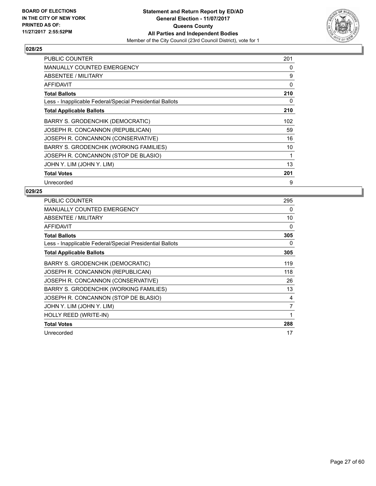

| <b>PUBLIC COUNTER</b>                                    | 201 |
|----------------------------------------------------------|-----|
| MANUALLY COUNTED EMERGENCY                               | 0   |
| ABSENTEE / MILITARY                                      | 9   |
| AFFIDAVIT                                                | 0   |
| <b>Total Ballots</b>                                     | 210 |
| Less - Inapplicable Federal/Special Presidential Ballots | 0   |
| <b>Total Applicable Ballots</b>                          | 210 |
| BARRY S. GRODENCHIK (DEMOCRATIC)                         | 102 |
| JOSEPH R. CONCANNON (REPUBLICAN)                         | 59  |
| JOSEPH R. CONCANNON (CONSERVATIVE)                       | 16  |
| BARRY S. GRODENCHIK (WORKING FAMILIES)                   | 10  |
| JOSEPH R. CONCANNON (STOP DE BLASIO)                     | 1   |
| JOHN Y. LIM (JOHN Y. LIM)                                | 13  |
| <b>Total Votes</b>                                       | 201 |
| Unrecorded                                               | 9   |

| <b>PUBLIC COUNTER</b>                                    | 295 |
|----------------------------------------------------------|-----|
| <b>MANUALLY COUNTED EMERGENCY</b>                        | 0   |
| ABSENTEE / MILITARY                                      | 10  |
| <b>AFFIDAVIT</b>                                         | 0   |
| <b>Total Ballots</b>                                     | 305 |
| Less - Inapplicable Federal/Special Presidential Ballots | 0   |
| <b>Total Applicable Ballots</b>                          | 305 |
| <b>BARRY S. GRODENCHIK (DEMOCRATIC)</b>                  | 119 |
| JOSEPH R. CONCANNON (REPUBLICAN)                         | 118 |
| JOSEPH R. CONCANNON (CONSERVATIVE)                       | 26  |
| BARRY S. GRODENCHIK (WORKING FAMILIES)                   | 13  |
| JOSEPH R. CONCANNON (STOP DE BLASIO)                     | 4   |
| JOHN Y. LIM (JOHN Y. LIM)                                | 7   |
| HOLLY REED (WRITE-IN)                                    | 1   |
| <b>Total Votes</b>                                       | 288 |
| Unrecorded                                               | 17  |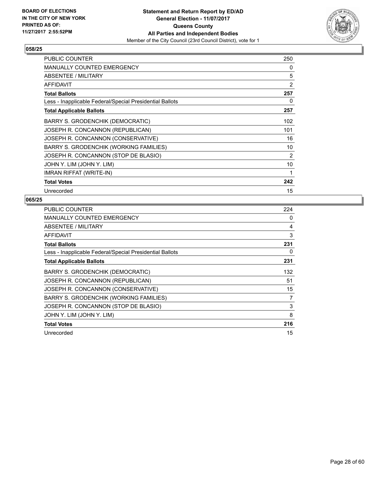

| PUBLIC COUNTER                                           | 250            |
|----------------------------------------------------------|----------------|
| <b>MANUALLY COUNTED EMERGENCY</b>                        | 0              |
| ABSENTEE / MILITARY                                      | 5              |
| <b>AFFIDAVIT</b>                                         | $\overline{2}$ |
| <b>Total Ballots</b>                                     | 257            |
| Less - Inapplicable Federal/Special Presidential Ballots | 0              |
| <b>Total Applicable Ballots</b>                          | 257            |
| BARRY S. GRODENCHIK (DEMOCRATIC)                         | 102            |
| JOSEPH R. CONCANNON (REPUBLICAN)                         | 101            |
| JOSEPH R. CONCANNON (CONSERVATIVE)                       | 16             |
| BARRY S. GRODENCHIK (WORKING FAMILIES)                   | 10             |
| JOSEPH R. CONCANNON (STOP DE BLASIO)                     | 2              |
| JOHN Y. LIM (JOHN Y. LIM)                                | 10             |
| <b>IMRAN RIFFAT (WRITE-IN)</b>                           | 1              |
| <b>Total Votes</b>                                       | 242            |
| Unrecorded                                               | 15             |

| <b>PUBLIC COUNTER</b>                                    | 224 |
|----------------------------------------------------------|-----|
| MANUALLY COUNTED EMERGENCY                               | 0   |
| ABSENTEE / MILITARY                                      | 4   |
| <b>AFFIDAVIT</b>                                         | 3   |
| <b>Total Ballots</b>                                     | 231 |
| Less - Inapplicable Federal/Special Presidential Ballots | 0   |
| <b>Total Applicable Ballots</b>                          | 231 |
| BARRY S. GRODENCHIK (DEMOCRATIC)                         | 132 |
| JOSEPH R. CONCANNON (REPUBLICAN)                         | 51  |
| JOSEPH R. CONCANNON (CONSERVATIVE)                       | 15  |
| BARRY S. GRODENCHIK (WORKING FAMILIES)                   | 7   |
| JOSEPH R. CONCANNON (STOP DE BLASIO)                     | 3   |
| JOHN Y. LIM (JOHN Y. LIM)                                | 8   |
| <b>Total Votes</b>                                       | 216 |
| Unrecorded                                               | 15  |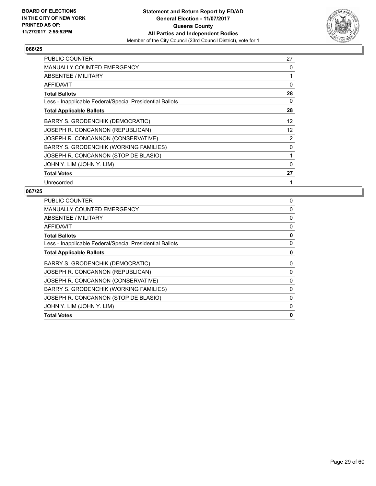

| <b>PUBLIC COUNTER</b>                                    | 27 |
|----------------------------------------------------------|----|
| <b>MANUALLY COUNTED EMERGENCY</b>                        | 0  |
| ABSENTEE / MILITARY                                      | 1  |
| AFFIDAVIT                                                | 0  |
| <b>Total Ballots</b>                                     | 28 |
| Less - Inapplicable Federal/Special Presidential Ballots | 0  |
| <b>Total Applicable Ballots</b>                          | 28 |
| BARRY S. GRODENCHIK (DEMOCRATIC)                         | 12 |
| JOSEPH R. CONCANNON (REPUBLICAN)                         | 12 |
| JOSEPH R. CONCANNON (CONSERVATIVE)                       | 2  |
| BARRY S. GRODENCHIK (WORKING FAMILIES)                   | 0  |
| JOSEPH R. CONCANNON (STOP DE BLASIO)                     | 1  |
| JOHN Y. LIM (JOHN Y. LIM)                                | 0  |
| <b>Total Votes</b>                                       | 27 |
| Unrecorded                                               |    |

| 0 |
|---|
| 0 |
| 0 |
| 0 |
| 0 |
| 0 |
| 0 |
| 0 |
| 0 |
| 0 |
| 0 |
| 0 |
| 0 |
| 0 |
|   |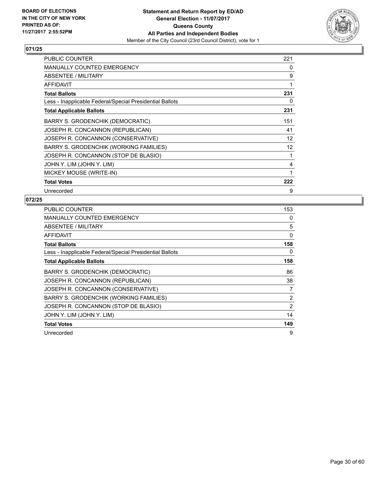

| <b>PUBLIC COUNTER</b>                                    | 221 |
|----------------------------------------------------------|-----|
| <b>MANUALLY COUNTED EMERGENCY</b>                        | 0   |
| ABSENTEE / MILITARY                                      | 9   |
| <b>AFFIDAVIT</b>                                         | 1   |
| <b>Total Ballots</b>                                     | 231 |
| Less - Inapplicable Federal/Special Presidential Ballots | 0   |
| <b>Total Applicable Ballots</b>                          | 231 |
| <b>BARRY S. GRODENCHIK (DEMOCRATIC)</b>                  | 151 |
| JOSEPH R. CONCANNON (REPUBLICAN)                         | 41  |
| JOSEPH R. CONCANNON (CONSERVATIVE)                       | 12  |
| BARRY S. GRODENCHIK (WORKING FAMILIES)                   | 12  |
| JOSEPH R. CONCANNON (STOP DE BLASIO)                     | 1   |
| JOHN Y. LIM (JOHN Y. LIM)                                | 4   |
| MICKEY MOUSE (WRITE-IN)                                  | 1   |
| <b>Total Votes</b>                                       | 222 |
| Unrecorded                                               | 9   |

| <b>PUBLIC COUNTER</b>                                    | 153            |
|----------------------------------------------------------|----------------|
| <b>MANUALLY COUNTED EMERGENCY</b>                        | 0              |
| ABSENTEE / MILITARY                                      | 5              |
| AFFIDAVIT                                                | 0              |
| <b>Total Ballots</b>                                     | 158            |
| Less - Inapplicable Federal/Special Presidential Ballots | 0              |
| <b>Total Applicable Ballots</b>                          | 158            |
| BARRY S. GRODENCHIK (DEMOCRATIC)                         | 86             |
| JOSEPH R. CONCANNON (REPUBLICAN)                         | 38             |
| JOSEPH R. CONCANNON (CONSERVATIVE)                       | 7              |
| BARRY S. GRODENCHIK (WORKING FAMILIES)                   | $\overline{2}$ |
| JOSEPH R. CONCANNON (STOP DE BLASIO)                     | 2              |
| JOHN Y. LIM (JOHN Y. LIM)                                | 14             |
| <b>Total Votes</b>                                       | 149            |
| Unrecorded                                               | 9              |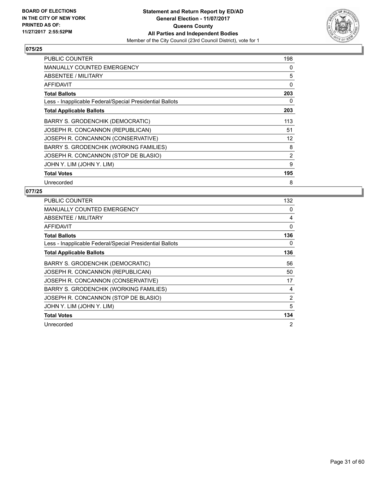

| <b>PUBLIC COUNTER</b>                                    | 198 |
|----------------------------------------------------------|-----|
| MANUALLY COUNTED EMERGENCY                               | 0   |
| ABSENTEE / MILITARY                                      | 5   |
| AFFIDAVIT                                                | 0   |
| <b>Total Ballots</b>                                     | 203 |
| Less - Inapplicable Federal/Special Presidential Ballots | 0   |
| <b>Total Applicable Ballots</b>                          | 203 |
| BARRY S. GRODENCHIK (DEMOCRATIC)                         | 113 |
| JOSEPH R. CONCANNON (REPUBLICAN)                         | 51  |
| JOSEPH R. CONCANNON (CONSERVATIVE)                       | 12  |
| <b>BARRY S. GRODENCHIK (WORKING FAMILIES)</b>            | 8   |
| JOSEPH R. CONCANNON (STOP DE BLASIO)                     | 2   |
| JOHN Y. LIM (JOHN Y. LIM)                                | 9   |
| <b>Total Votes</b>                                       | 195 |
| Unrecorded                                               | 8   |

| <b>PUBLIC COUNTER</b>                                    | 132 |
|----------------------------------------------------------|-----|
| <b>MANUALLY COUNTED EMERGENCY</b>                        | 0   |
| ABSENTEE / MILITARY                                      | 4   |
| <b>AFFIDAVIT</b>                                         | 0   |
| <b>Total Ballots</b>                                     | 136 |
| Less - Inapplicable Federal/Special Presidential Ballots | 0   |
| <b>Total Applicable Ballots</b>                          | 136 |
| BARRY S. GRODENCHIK (DEMOCRATIC)                         | 56  |
| JOSEPH R. CONCANNON (REPUBLICAN)                         | 50  |
| JOSEPH R. CONCANNON (CONSERVATIVE)                       | 17  |
| BARRY S. GRODENCHIK (WORKING FAMILIES)                   | 4   |
| JOSEPH R. CONCANNON (STOP DE BLASIO)                     | 2   |
| JOHN Y. LIM (JOHN Y. LIM)                                | 5   |
| <b>Total Votes</b>                                       | 134 |
| Unrecorded                                               | 2   |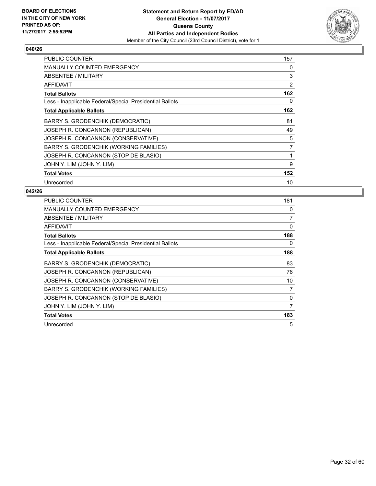

| <b>PUBLIC COUNTER</b>                                    | 157 |
|----------------------------------------------------------|-----|
| <b>MANUALLY COUNTED EMERGENCY</b>                        | 0   |
| ABSENTEE / MILITARY                                      | 3   |
| <b>AFFIDAVIT</b>                                         | 2   |
| <b>Total Ballots</b>                                     | 162 |
| Less - Inapplicable Federal/Special Presidential Ballots | 0   |
| <b>Total Applicable Ballots</b>                          | 162 |
| BARRY S. GRODENCHIK (DEMOCRATIC)                         | 81  |
| JOSEPH R. CONCANNON (REPUBLICAN)                         | 49  |
| JOSEPH R. CONCANNON (CONSERVATIVE)                       | 5   |
| BARRY S. GRODENCHIK (WORKING FAMILIES)                   | 7   |
| JOSEPH R. CONCANNON (STOP DE BLASIO)                     | 1   |
| JOHN Y. LIM (JOHN Y. LIM)                                | 9   |
| <b>Total Votes</b>                                       | 152 |
| Unrecorded                                               | 10  |

| <b>PUBLIC COUNTER</b>                                    | 181            |
|----------------------------------------------------------|----------------|
| <b>MANUALLY COUNTED EMERGENCY</b>                        | 0              |
| ABSENTEE / MILITARY                                      | $\overline{7}$ |
| <b>AFFIDAVIT</b>                                         | 0              |
| <b>Total Ballots</b>                                     | 188            |
| Less - Inapplicable Federal/Special Presidential Ballots | 0              |
| <b>Total Applicable Ballots</b>                          | 188            |
| BARRY S. GRODENCHIK (DEMOCRATIC)                         | 83             |
| JOSEPH R. CONCANNON (REPUBLICAN)                         | 76             |
| JOSEPH R. CONCANNON (CONSERVATIVE)                       | 10             |
| BARRY S. GRODENCHIK (WORKING FAMILIES)                   | 7              |
| JOSEPH R. CONCANNON (STOP DE BLASIO)                     | 0              |
| JOHN Y. LIM (JOHN Y. LIM)                                | 7              |
| <b>Total Votes</b>                                       | 183            |
| Unrecorded                                               | 5              |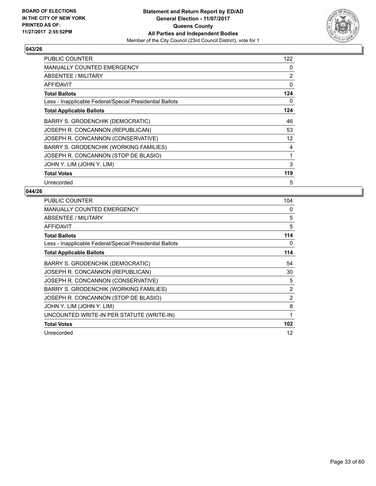

| <b>PUBLIC COUNTER</b>                                    | 122 |
|----------------------------------------------------------|-----|
| <b>MANUALLY COUNTED EMERGENCY</b>                        | 0   |
| ABSENTEE / MILITARY                                      | 2   |
| AFFIDAVIT                                                | 0   |
| <b>Total Ballots</b>                                     | 124 |
| Less - Inapplicable Federal/Special Presidential Ballots | 0   |
| <b>Total Applicable Ballots</b>                          | 124 |
| BARRY S. GRODENCHIK (DEMOCRATIC)                         | 46  |
| JOSEPH R. CONCANNON (REPUBLICAN)                         | 53  |
| JOSEPH R. CONCANNON (CONSERVATIVE)                       | 12  |
| BARRY S. GRODENCHIK (WORKING FAMILIES)                   | 4   |
| JOSEPH R. CONCANNON (STOP DE BLASIO)                     | 1   |
| JOHN Y. LIM (JOHN Y. LIM)                                | 3   |
| <b>Total Votes</b>                                       | 119 |
| Unrecorded                                               | 5   |

| <b>PUBLIC COUNTER</b>                                    | 104 |
|----------------------------------------------------------|-----|
| <b>MANUALLY COUNTED EMERGENCY</b>                        | 0   |
| ABSENTEE / MILITARY                                      | 5   |
| AFFIDAVIT                                                | 5   |
| <b>Total Ballots</b>                                     | 114 |
| Less - Inapplicable Federal/Special Presidential Ballots | 0   |
| <b>Total Applicable Ballots</b>                          | 114 |
| <b>BARRY S. GRODENCHIK (DEMOCRATIC)</b>                  | 54  |
| JOSEPH R. CONCANNON (REPUBLICAN)                         | 30  |
| JOSEPH R. CONCANNON (CONSERVATIVE)                       | 5   |
| <b>BARRY S. GRODENCHIK (WORKING FAMILIES)</b>            | 2   |
| JOSEPH R. CONCANNON (STOP DE BLASIO)                     | 2   |
| JOHN Y. LIM (JOHN Y. LIM)                                | 8   |
| UNCOUNTED WRITE-IN PER STATUTE (WRITE-IN)                | 1   |
| <b>Total Votes</b>                                       | 102 |
| Unrecorded                                               | 12  |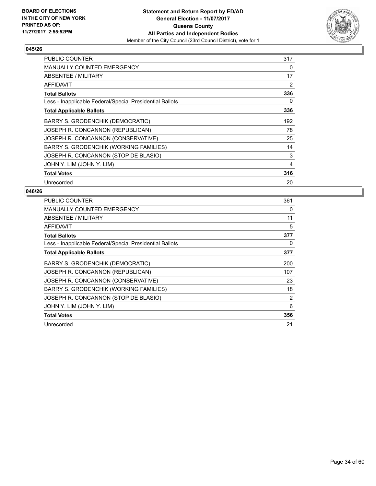

| <b>PUBLIC COUNTER</b>                                    | 317 |
|----------------------------------------------------------|-----|
| <b>MANUALLY COUNTED EMERGENCY</b>                        | 0   |
| ABSENTEE / MILITARY                                      | 17  |
| AFFIDAVIT                                                | 2   |
| <b>Total Ballots</b>                                     | 336 |
| Less - Inapplicable Federal/Special Presidential Ballots | 0   |
| <b>Total Applicable Ballots</b>                          | 336 |
| BARRY S. GRODENCHIK (DEMOCRATIC)                         | 192 |
| JOSEPH R. CONCANNON (REPUBLICAN)                         | 78  |
| JOSEPH R. CONCANNON (CONSERVATIVE)                       | 25  |
| BARRY S. GRODENCHIK (WORKING FAMILIES)                   | 14  |
| JOSEPH R. CONCANNON (STOP DE BLASIO)                     | 3   |
| JOHN Y. LIM (JOHN Y. LIM)                                | 4   |
| <b>Total Votes</b>                                       | 316 |
| Unrecorded                                               | 20  |

| <b>PUBLIC COUNTER</b>                                    | 361 |
|----------------------------------------------------------|-----|
| <b>MANUALLY COUNTED EMERGENCY</b>                        | 0   |
| ABSENTEE / MILITARY                                      | 11  |
| <b>AFFIDAVIT</b>                                         | 5   |
| <b>Total Ballots</b>                                     | 377 |
| Less - Inapplicable Federal/Special Presidential Ballots | 0   |
| <b>Total Applicable Ballots</b>                          | 377 |
| BARRY S. GRODENCHIK (DEMOCRATIC)                         | 200 |
| JOSEPH R. CONCANNON (REPUBLICAN)                         | 107 |
| JOSEPH R. CONCANNON (CONSERVATIVE)                       | 23  |
| BARRY S. GRODENCHIK (WORKING FAMILIES)                   | 18  |
| JOSEPH R. CONCANNON (STOP DE BLASIO)                     | 2   |
| JOHN Y. LIM (JOHN Y. LIM)                                | 6   |
| <b>Total Votes</b>                                       | 356 |
| Unrecorded                                               | 21  |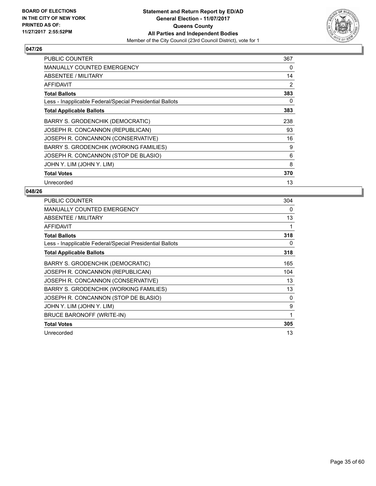

| <b>PUBLIC COUNTER</b>                                    | 367 |
|----------------------------------------------------------|-----|
| <b>MANUALLY COUNTED EMERGENCY</b>                        | 0   |
| ABSENTEE / MILITARY                                      | 14  |
| AFFIDAVIT                                                | 2   |
| <b>Total Ballots</b>                                     | 383 |
| Less - Inapplicable Federal/Special Presidential Ballots | 0   |
| <b>Total Applicable Ballots</b>                          | 383 |
| BARRY S. GRODENCHIK (DEMOCRATIC)                         | 238 |
| JOSEPH R. CONCANNON (REPUBLICAN)                         | 93  |
| JOSEPH R. CONCANNON (CONSERVATIVE)                       | 16  |
| BARRY S. GRODENCHIK (WORKING FAMILIES)                   | 9   |
| JOSEPH R. CONCANNON (STOP DE BLASIO)                     | 6   |
| JOHN Y. LIM (JOHN Y. LIM)                                | 8   |
| <b>Total Votes</b>                                       | 370 |
| Unrecorded                                               | 13  |

| PUBLIC COUNTER                                           | 304 |
|----------------------------------------------------------|-----|
| <b>MANUALLY COUNTED EMERGENCY</b>                        | 0   |
| ABSENTEE / MILITARY                                      | 13  |
| <b>AFFIDAVIT</b>                                         | 1   |
| <b>Total Ballots</b>                                     | 318 |
| Less - Inapplicable Federal/Special Presidential Ballots | 0   |
| <b>Total Applicable Ballots</b>                          | 318 |
| BARRY S. GRODENCHIK (DEMOCRATIC)                         | 165 |
| JOSEPH R. CONCANNON (REPUBLICAN)                         | 104 |
| JOSEPH R. CONCANNON (CONSERVATIVE)                       | 13  |
| BARRY S. GRODENCHIK (WORKING FAMILIES)                   | 13  |
| JOSEPH R. CONCANNON (STOP DE BLASIO)                     | 0   |
| JOHN Y. LIM (JOHN Y. LIM)                                | 9   |
| BRUCE BARONOFF (WRITE-IN)                                | 1   |
| <b>Total Votes</b>                                       | 305 |
| Unrecorded                                               | 13  |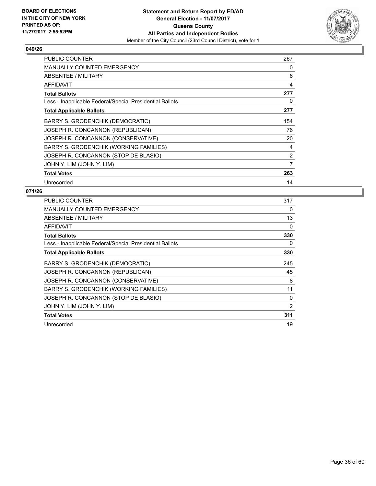

| <b>PUBLIC COUNTER</b>                                    | 267            |
|----------------------------------------------------------|----------------|
| <b>MANUALLY COUNTED EMERGENCY</b>                        | 0              |
| ABSENTEE / MILITARY                                      | 6              |
| AFFIDAVIT                                                | 4              |
| <b>Total Ballots</b>                                     | 277            |
| Less - Inapplicable Federal/Special Presidential Ballots | 0              |
| <b>Total Applicable Ballots</b>                          | 277            |
| BARRY S. GRODENCHIK (DEMOCRATIC)                         | 154            |
| JOSEPH R. CONCANNON (REPUBLICAN)                         | 76             |
| JOSEPH R. CONCANNON (CONSERVATIVE)                       | 20             |
| BARRY S. GRODENCHIK (WORKING FAMILIES)                   | 4              |
| JOSEPH R. CONCANNON (STOP DE BLASIO)                     | $\overline{2}$ |
| JOHN Y. LIM (JOHN Y. LIM)                                | 7              |
| <b>Total Votes</b>                                       | 263            |
| Unrecorded                                               | 14             |

| PUBLIC COUNTER                                           | 317            |
|----------------------------------------------------------|----------------|
| <b>MANUALLY COUNTED EMERGENCY</b>                        | 0              |
| ABSENTEE / MILITARY                                      | 13             |
| AFFIDAVIT                                                | 0              |
| <b>Total Ballots</b>                                     | 330            |
| Less - Inapplicable Federal/Special Presidential Ballots | 0              |
| <b>Total Applicable Ballots</b>                          | 330            |
| BARRY S. GRODENCHIK (DEMOCRATIC)                         | 245            |
| JOSEPH R. CONCANNON (REPUBLICAN)                         | 45             |
| JOSEPH R. CONCANNON (CONSERVATIVE)                       | 8              |
| BARRY S. GRODENCHIK (WORKING FAMILIES)                   | 11             |
| JOSEPH R. CONCANNON (STOP DE BLASIO)                     | 0              |
| JOHN Y. LIM (JOHN Y. LIM)                                | $\overline{2}$ |
| <b>Total Votes</b>                                       | 311            |
| Unrecorded                                               | 19             |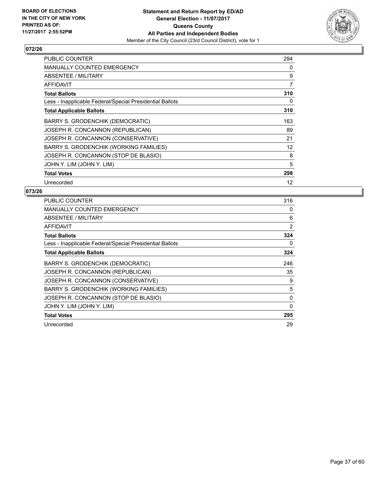

| <b>PUBLIC COUNTER</b>                                    | 294 |
|----------------------------------------------------------|-----|
| <b>MANUALLY COUNTED EMERGENCY</b>                        | 0   |
| ABSENTEE / MILITARY                                      | 9   |
| AFFIDAVIT                                                | 7   |
| <b>Total Ballots</b>                                     | 310 |
| Less - Inapplicable Federal/Special Presidential Ballots | 0   |
| <b>Total Applicable Ballots</b>                          | 310 |
| BARRY S. GRODENCHIK (DEMOCRATIC)                         | 163 |
| JOSEPH R. CONCANNON (REPUBLICAN)                         | 89  |
| JOSEPH R. CONCANNON (CONSERVATIVE)                       | 21  |
| BARRY S. GRODENCHIK (WORKING FAMILIES)                   | 12  |
| JOSEPH R. CONCANNON (STOP DE BLASIO)                     | 8   |
| JOHN Y. LIM (JOHN Y. LIM)                                | 5   |
| <b>Total Votes</b>                                       | 298 |
| Unrecorded                                               | 12  |

| <b>PUBLIC COUNTER</b>                                    | 316 |
|----------------------------------------------------------|-----|
| MANUALLY COUNTED EMERGENCY                               | 0   |
| ABSENTEE / MILITARY                                      | 6   |
| AFFIDAVIT                                                | 2   |
| <b>Total Ballots</b>                                     | 324 |
| Less - Inapplicable Federal/Special Presidential Ballots | 0   |
| <b>Total Applicable Ballots</b>                          | 324 |
| BARRY S. GRODENCHIK (DEMOCRATIC)                         | 246 |
| JOSEPH R. CONCANNON (REPUBLICAN)                         | 35  |
| JOSEPH R. CONCANNON (CONSERVATIVE)                       | 9   |
| BARRY S. GRODENCHIK (WORKING FAMILIES)                   | 5   |
| JOSEPH R. CONCANNON (STOP DE BLASIO)                     | 0   |
| JOHN Y. LIM (JOHN Y. LIM)                                | 0   |
| <b>Total Votes</b>                                       | 295 |
| Unrecorded                                               | 29  |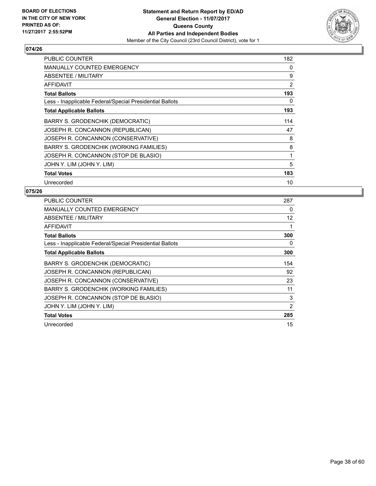

| <b>PUBLIC COUNTER</b>                                    | 182 |
|----------------------------------------------------------|-----|
| <b>MANUALLY COUNTED EMERGENCY</b>                        | 0   |
| ABSENTEE / MILITARY                                      | 9   |
| AFFIDAVIT                                                | 2   |
| <b>Total Ballots</b>                                     | 193 |
| Less - Inapplicable Federal/Special Presidential Ballots | 0   |
| <b>Total Applicable Ballots</b>                          | 193 |
| BARRY S. GRODENCHIK (DEMOCRATIC)                         | 114 |
| JOSEPH R. CONCANNON (REPUBLICAN)                         | 47  |
| JOSEPH R. CONCANNON (CONSERVATIVE)                       | 8   |
| <b>BARRY S. GRODENCHIK (WORKING FAMILIES)</b>            | 8   |
| JOSEPH R. CONCANNON (STOP DE BLASIO)                     | 1   |
| JOHN Y. LIM (JOHN Y. LIM)                                | 5   |
| <b>Total Votes</b>                                       | 183 |
| Unrecorded                                               | 10  |

| <b>PUBLIC COUNTER</b>                                    | 287               |
|----------------------------------------------------------|-------------------|
| <b>MANUALLY COUNTED EMERGENCY</b>                        | 0                 |
| ABSENTEE / MILITARY                                      | $12 \overline{ }$ |
| AFFIDAVIT                                                |                   |
| <b>Total Ballots</b>                                     | 300               |
| Less - Inapplicable Federal/Special Presidential Ballots | 0                 |
| <b>Total Applicable Ballots</b>                          | 300               |
| BARRY S. GRODENCHIK (DEMOCRATIC)                         | 154               |
| JOSEPH R. CONCANNON (REPUBLICAN)                         | 92                |
| JOSEPH R. CONCANNON (CONSERVATIVE)                       | 23                |
| BARRY S. GRODENCHIK (WORKING FAMILIES)                   | 11                |
| JOSEPH R. CONCANNON (STOP DE BLASIO)                     | 3                 |
| JOHN Y. LIM (JOHN Y. LIM)                                | 2                 |
| <b>Total Votes</b>                                       | 285               |
| Unrecorded                                               | 15                |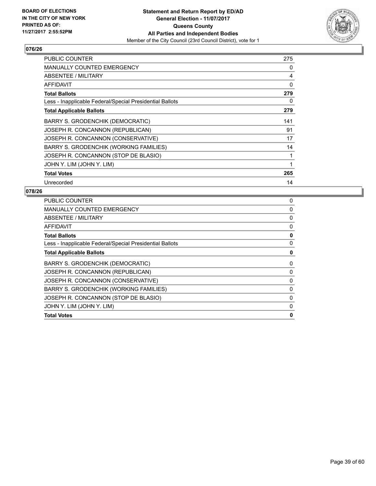

| <b>PUBLIC COUNTER</b>                                    | 275 |
|----------------------------------------------------------|-----|
| <b>MANUALLY COUNTED EMERGENCY</b>                        | 0   |
| ABSENTEE / MILITARY                                      | 4   |
| AFFIDAVIT                                                | 0   |
| <b>Total Ballots</b>                                     | 279 |
| Less - Inapplicable Federal/Special Presidential Ballots | 0   |
| <b>Total Applicable Ballots</b>                          | 279 |
| BARRY S. GRODENCHIK (DEMOCRATIC)                         | 141 |
| JOSEPH R. CONCANNON (REPUBLICAN)                         | 91  |
| JOSEPH R. CONCANNON (CONSERVATIVE)                       | 17  |
| BARRY S. GRODENCHIK (WORKING FAMILIES)                   | 14  |
| JOSEPH R. CONCANNON (STOP DE BLASIO)                     | 1   |
| JOHN Y. LIM (JOHN Y. LIM)                                | 1   |
| <b>Total Votes</b>                                       | 265 |
| Unrecorded                                               | 14  |

| <b>PUBLIC COUNTER</b>                                    | 0        |
|----------------------------------------------------------|----------|
| <b>MANUALLY COUNTED EMERGENCY</b>                        | 0        |
| ABSENTEE / MILITARY                                      | 0        |
| AFFIDAVIT                                                | 0        |
| <b>Total Ballots</b>                                     | 0        |
| Less - Inapplicable Federal/Special Presidential Ballots | 0        |
| <b>Total Applicable Ballots</b>                          | 0        |
| <b>BARRY S. GRODENCHIK (DEMOCRATIC)</b>                  | 0        |
| JOSEPH R. CONCANNON (REPUBLICAN)                         | 0        |
| JOSEPH R. CONCANNON (CONSERVATIVE)                       | 0        |
| <b>BARRY S. GRODENCHIK (WORKING FAMILIES)</b>            | 0        |
| JOSEPH R. CONCANNON (STOP DE BLASIO)                     | $\Omega$ |
| JOHN Y. LIM (JOHN Y. LIM)                                | 0        |
| <b>Total Votes</b>                                       | 0        |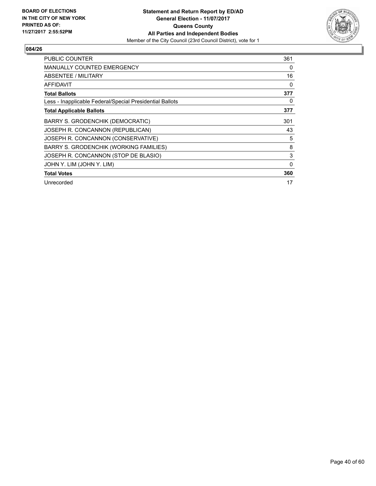

| <b>PUBLIC COUNTER</b>                                    | 361         |
|----------------------------------------------------------|-------------|
| <b>MANUALLY COUNTED EMERGENCY</b>                        | 0           |
| <b>ABSENTEE / MILITARY</b>                               | 16          |
| AFFIDAVIT                                                | 0           |
| <b>Total Ballots</b>                                     | 377         |
| Less - Inapplicable Federal/Special Presidential Ballots | 0           |
| <b>Total Applicable Ballots</b>                          | 377         |
| <b>BARRY S. GRODENCHIK (DEMOCRATIC)</b>                  | 301         |
| JOSEPH R. CONCANNON (REPUBLICAN)                         | 43          |
| JOSEPH R. CONCANNON (CONSERVATIVE)                       | 5           |
| <b>BARRY S. GRODENCHIK (WORKING FAMILIES)</b>            | 8           |
| JOSEPH R. CONCANNON (STOP DE BLASIO)                     | 3           |
| JOHN Y. LIM (JOHN Y. LIM)                                | $\mathbf 0$ |
| <b>Total Votes</b>                                       | 360         |
| Unrecorded                                               | 17          |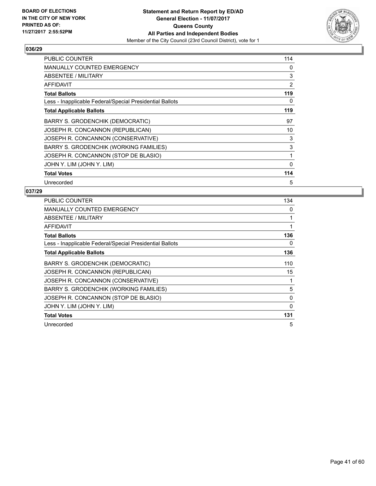

| <b>PUBLIC COUNTER</b>                                    | 114 |
|----------------------------------------------------------|-----|
| <b>MANUALLY COUNTED EMERGENCY</b>                        | 0   |
| ABSENTEE / MILITARY                                      | 3   |
| AFFIDAVIT                                                | 2   |
| <b>Total Ballots</b>                                     | 119 |
| Less - Inapplicable Federal/Special Presidential Ballots | 0   |
| <b>Total Applicable Ballots</b>                          | 119 |
| BARRY S. GRODENCHIK (DEMOCRATIC)                         | 97  |
| JOSEPH R. CONCANNON (REPUBLICAN)                         | 10  |
| JOSEPH R. CONCANNON (CONSERVATIVE)                       | 3   |
| BARRY S. GRODENCHIK (WORKING FAMILIES)                   | 3   |
| JOSEPH R. CONCANNON (STOP DE BLASIO)                     | 1   |
| JOHN Y. LIM (JOHN Y. LIM)                                | 0   |
| <b>Total Votes</b>                                       | 114 |
| Unrecorded                                               | 5   |

| <b>PUBLIC COUNTER</b>                                    | 134          |
|----------------------------------------------------------|--------------|
| MANUALLY COUNTED EMERGENCY                               | 0            |
| ABSENTEE / MILITARY                                      | 1            |
| <b>AFFIDAVIT</b>                                         | $\mathbf{1}$ |
| <b>Total Ballots</b>                                     | 136          |
| Less - Inapplicable Federal/Special Presidential Ballots | 0            |
| <b>Total Applicable Ballots</b>                          | 136          |
| BARRY S. GRODENCHIK (DEMOCRATIC)                         | 110          |
| JOSEPH R. CONCANNON (REPUBLICAN)                         | 15           |
| JOSEPH R. CONCANNON (CONSERVATIVE)                       | 1            |
| <b>BARRY S. GRODENCHIK (WORKING FAMILIES)</b>            | 5            |
| JOSEPH R. CONCANNON (STOP DE BLASIO)                     | 0            |
| JOHN Y. LIM (JOHN Y. LIM)                                | 0            |
| <b>Total Votes</b>                                       | 131          |
| Unrecorded                                               | 5            |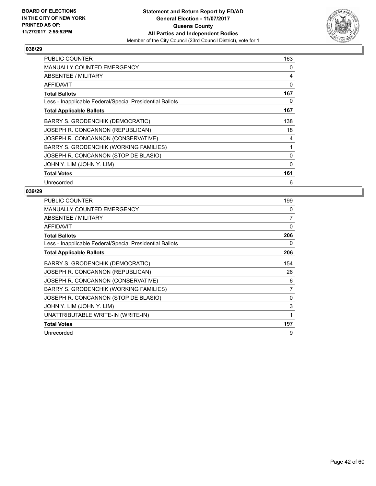

| <b>PUBLIC COUNTER</b>                                    | 163          |
|----------------------------------------------------------|--------------|
| <b>MANUALLY COUNTED EMERGENCY</b>                        | 0            |
| ABSENTEE / MILITARY                                      | 4            |
| <b>AFFIDAVIT</b>                                         | 0            |
| <b>Total Ballots</b>                                     | 167          |
| Less - Inapplicable Federal/Special Presidential Ballots | 0            |
| <b>Total Applicable Ballots</b>                          | 167          |
| BARRY S. GRODENCHIK (DEMOCRATIC)                         | 138          |
| JOSEPH R. CONCANNON (REPUBLICAN)                         | 18           |
| JOSEPH R. CONCANNON (CONSERVATIVE)                       | 4            |
| BARRY S. GRODENCHIK (WORKING FAMILIES)                   | 1            |
| JOSEPH R. CONCANNON (STOP DE BLASIO)                     | 0            |
| JOHN Y. LIM (JOHN Y. LIM)                                | $\mathbf{0}$ |
| <b>Total Votes</b>                                       | 161          |
| Unrecorded                                               | 6            |

| PUBLIC COUNTER                                           | 199 |
|----------------------------------------------------------|-----|
| MANUALLY COUNTED EMERGENCY                               | 0   |
| ABSENTEE / MILITARY                                      | 7   |
| <b>AFFIDAVIT</b>                                         | 0   |
| <b>Total Ballots</b>                                     | 206 |
| Less - Inapplicable Federal/Special Presidential Ballots | 0   |
| <b>Total Applicable Ballots</b>                          | 206 |
| BARRY S. GRODENCHIK (DEMOCRATIC)                         | 154 |
| JOSEPH R. CONCANNON (REPUBLICAN)                         | 26  |
| JOSEPH R. CONCANNON (CONSERVATIVE)                       | 6   |
| <b>BARRY S. GRODENCHIK (WORKING FAMILIES)</b>            | 7   |
| JOSEPH R. CONCANNON (STOP DE BLASIO)                     | 0   |
| JOHN Y. LIM (JOHN Y. LIM)                                | 3   |
| UNATTRIBUTABLE WRITE-IN (WRITE-IN)                       | 1   |
| <b>Total Votes</b>                                       | 197 |
| Unrecorded                                               | 9   |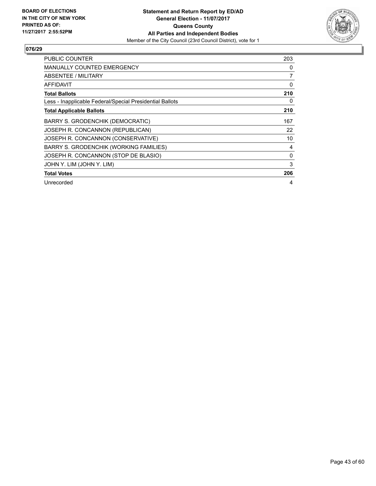

| <b>PUBLIC COUNTER</b>                                    | 203 |
|----------------------------------------------------------|-----|
| <b>MANUALLY COUNTED EMERGENCY</b>                        | 0   |
| ABSENTEE / MILITARY                                      | 7   |
| AFFIDAVIT                                                | 0   |
| <b>Total Ballots</b>                                     | 210 |
| Less - Inapplicable Federal/Special Presidential Ballots | 0   |
| <b>Total Applicable Ballots</b>                          | 210 |
| BARRY S. GRODENCHIK (DEMOCRATIC)                         | 167 |
| JOSEPH R. CONCANNON (REPUBLICAN)                         | 22  |
| JOSEPH R. CONCANNON (CONSERVATIVE)                       | 10  |
| BARRY S. GRODENCHIK (WORKING FAMILIES)                   | 4   |
| JOSEPH R. CONCANNON (STOP DE BLASIO)                     | 0   |
| JOHN Y. LIM (JOHN Y. LIM)                                | 3   |
| <b>Total Votes</b>                                       | 206 |
| Unrecorded                                               | 4   |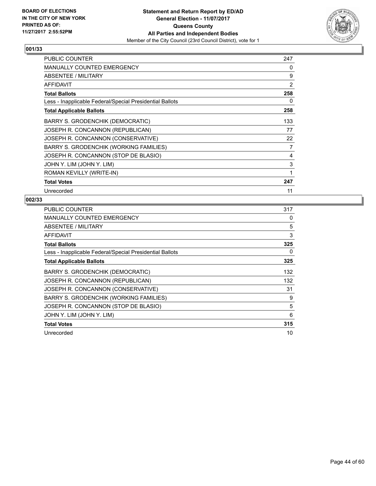

| <b>PUBLIC COUNTER</b>                                    | 247 |
|----------------------------------------------------------|-----|
| <b>MANUALLY COUNTED EMERGENCY</b>                        | 0   |
| ABSENTEE / MILITARY                                      | 9   |
| <b>AFFIDAVIT</b>                                         | 2   |
| <b>Total Ballots</b>                                     | 258 |
| Less - Inapplicable Federal/Special Presidential Ballots | 0   |
| <b>Total Applicable Ballots</b>                          | 258 |
| BARRY S. GRODENCHIK (DEMOCRATIC)                         | 133 |
| JOSEPH R. CONCANNON (REPUBLICAN)                         | 77  |
| JOSEPH R. CONCANNON (CONSERVATIVE)                       | 22  |
| BARRY S. GRODENCHIK (WORKING FAMILIES)                   | 7   |
| JOSEPH R. CONCANNON (STOP DE BLASIO)                     | 4   |
| JOHN Y. LIM (JOHN Y. LIM)                                | 3   |
| ROMAN KEVILLY (WRITE-IN)                                 | 1   |
| <b>Total Votes</b>                                       | 247 |
| Unrecorded                                               | 11  |

| <b>PUBLIC COUNTER</b>                                    | 317 |
|----------------------------------------------------------|-----|
| <b>MANUALLY COUNTED EMERGENCY</b>                        | 0   |
| ABSENTEE / MILITARY                                      | 5   |
| AFFIDAVIT                                                | 3   |
| <b>Total Ballots</b>                                     | 325 |
| Less - Inapplicable Federal/Special Presidential Ballots | 0   |
| <b>Total Applicable Ballots</b>                          | 325 |
| BARRY S. GRODENCHIK (DEMOCRATIC)                         | 132 |
| JOSEPH R. CONCANNON (REPUBLICAN)                         | 132 |
| JOSEPH R. CONCANNON (CONSERVATIVE)                       | 31  |
| BARRY S. GRODENCHIK (WORKING FAMILIES)                   | 9   |
| JOSEPH R. CONCANNON (STOP DE BLASIO)                     | 5   |
| JOHN Y. LIM (JOHN Y. LIM)                                | 6   |
| <b>Total Votes</b>                                       | 315 |
| Unrecorded                                               | 10  |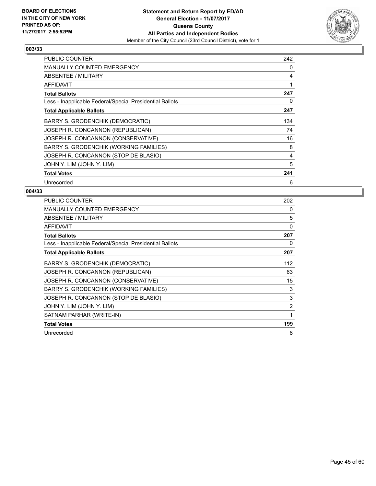

| <b>PUBLIC COUNTER</b>                                    | 242 |
|----------------------------------------------------------|-----|
| MANUALLY COUNTED EMERGENCY                               | 0   |
| ABSENTEE / MILITARY                                      | 4   |
| AFFIDAVIT                                                | 1   |
| <b>Total Ballots</b>                                     | 247 |
| Less - Inapplicable Federal/Special Presidential Ballots | 0   |
| <b>Total Applicable Ballots</b>                          | 247 |
| BARRY S. GRODENCHIK (DEMOCRATIC)                         | 134 |
| JOSEPH R. CONCANNON (REPUBLICAN)                         | 74  |
| JOSEPH R. CONCANNON (CONSERVATIVE)                       | 16  |
| BARRY S. GRODENCHIK (WORKING FAMILIES)                   | 8   |
| JOSEPH R. CONCANNON (STOP DE BLASIO)                     | 4   |
| JOHN Y. LIM (JOHN Y. LIM)                                | 5   |
| <b>Total Votes</b>                                       | 241 |
| Unrecorded                                               | 6   |

| PUBLIC COUNTER                                           | 202            |
|----------------------------------------------------------|----------------|
| <b>MANUALLY COUNTED EMERGENCY</b>                        | 0              |
| ABSENTEE / MILITARY                                      | 5              |
| AFFIDAVIT                                                | 0              |
| <b>Total Ballots</b>                                     | 207            |
| Less - Inapplicable Federal/Special Presidential Ballots | 0              |
| <b>Total Applicable Ballots</b>                          | 207            |
| BARRY S. GRODENCHIK (DEMOCRATIC)                         | 112            |
| JOSEPH R. CONCANNON (REPUBLICAN)                         | 63             |
| JOSEPH R. CONCANNON (CONSERVATIVE)                       | 15             |
| BARRY S. GRODENCHIK (WORKING FAMILIES)                   | 3              |
| JOSEPH R. CONCANNON (STOP DE BLASIO)                     | 3              |
| JOHN Y. LIM (JOHN Y. LIM)                                | $\overline{2}$ |
| SATNAM PARHAR (WRITE-IN)                                 | 1              |
| <b>Total Votes</b>                                       | 199            |
| Unrecorded                                               | 8              |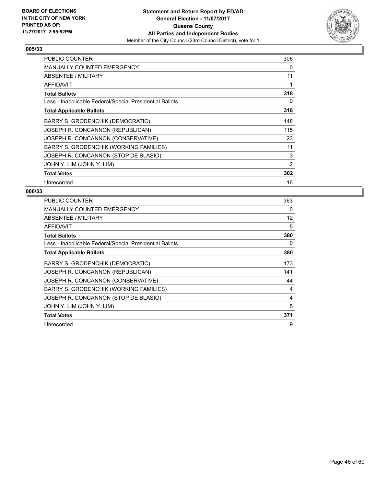

| <b>PUBLIC COUNTER</b>                                    | 306 |
|----------------------------------------------------------|-----|
| <b>MANUALLY COUNTED EMERGENCY</b>                        | 0   |
| ABSENTEE / MILITARY                                      | 11  |
| AFFIDAVIT                                                | 1   |
| <b>Total Ballots</b>                                     | 318 |
| Less - Inapplicable Federal/Special Presidential Ballots | 0   |
| <b>Total Applicable Ballots</b>                          | 318 |
| BARRY S. GRODENCHIK (DEMOCRATIC)                         | 148 |
| JOSEPH R. CONCANNON (REPUBLICAN)                         | 115 |
| JOSEPH R. CONCANNON (CONSERVATIVE)                       | 23  |
| BARRY S. GRODENCHIK (WORKING FAMILIES)                   | 11  |
| JOSEPH R. CONCANNON (STOP DE BLASIO)                     | 3   |
| JOHN Y. LIM (JOHN Y. LIM)                                | 2   |
| <b>Total Votes</b>                                       | 302 |
| Unrecorded                                               | 16  |

| <b>PUBLIC COUNTER</b>                                    | 363 |
|----------------------------------------------------------|-----|
| <b>MANUALLY COUNTED EMERGENCY</b>                        | 0   |
| ABSENTEE / MILITARY                                      | 12  |
| AFFIDAVIT                                                | 5   |
| <b>Total Ballots</b>                                     | 380 |
| Less - Inapplicable Federal/Special Presidential Ballots | 0   |
| <b>Total Applicable Ballots</b>                          | 380 |
| BARRY S. GRODENCHIK (DEMOCRATIC)                         | 173 |
| JOSEPH R. CONCANNON (REPUBLICAN)                         | 141 |
| JOSEPH R. CONCANNON (CONSERVATIVE)                       | 44  |
| BARRY S. GRODENCHIK (WORKING FAMILIES)                   | 4   |
| JOSEPH R. CONCANNON (STOP DE BLASIO)                     | 4   |
| JOHN Y. LIM (JOHN Y. LIM)                                | 5   |
| <b>Total Votes</b>                                       | 371 |
| Unrecorded                                               | 9   |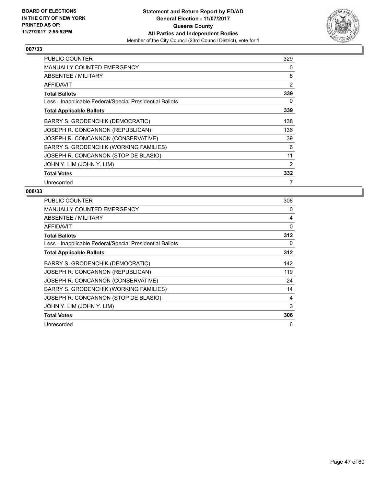

| <b>PUBLIC COUNTER</b>                                    | 329 |
|----------------------------------------------------------|-----|
| <b>MANUALLY COUNTED EMERGENCY</b>                        | 0   |
| ABSENTEE / MILITARY                                      | 8   |
| <b>AFFIDAVIT</b>                                         | 2   |
| <b>Total Ballots</b>                                     | 339 |
| Less - Inapplicable Federal/Special Presidential Ballots | 0   |
| <b>Total Applicable Ballots</b>                          | 339 |
| BARRY S. GRODENCHIK (DEMOCRATIC)                         | 138 |
| JOSEPH R. CONCANNON (REPUBLICAN)                         | 136 |
| JOSEPH R. CONCANNON (CONSERVATIVE)                       | 39  |
| BARRY S. GRODENCHIK (WORKING FAMILIES)                   | 6   |
| JOSEPH R. CONCANNON (STOP DE BLASIO)                     | 11  |
| JOHN Y. LIM (JOHN Y. LIM)                                | 2   |
| <b>Total Votes</b>                                       | 332 |
| Unrecorded                                               | 7   |

| <b>PUBLIC COUNTER</b>                                    | 308 |
|----------------------------------------------------------|-----|
| <b>MANUALLY COUNTED EMERGENCY</b>                        | 0   |
| ABSENTEE / MILITARY                                      | 4   |
| <b>AFFIDAVIT</b>                                         | 0   |
| <b>Total Ballots</b>                                     | 312 |
| Less - Inapplicable Federal/Special Presidential Ballots | 0   |
| <b>Total Applicable Ballots</b>                          | 312 |
| BARRY S. GRODENCHIK (DEMOCRATIC)                         | 142 |
| JOSEPH R. CONCANNON (REPUBLICAN)                         | 119 |
| JOSEPH R. CONCANNON (CONSERVATIVE)                       | 24  |
| BARRY S. GRODENCHIK (WORKING FAMILIES)                   | 14  |
| JOSEPH R. CONCANNON (STOP DE BLASIO)                     | 4   |
| JOHN Y. LIM (JOHN Y. LIM)                                | 3   |
| <b>Total Votes</b>                                       | 306 |
| Unrecorded                                               | 6   |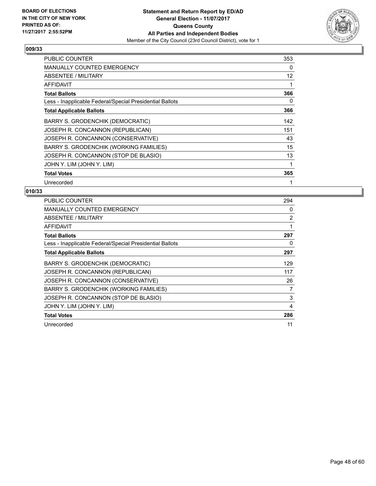

| <b>PUBLIC COUNTER</b>                                    | 353 |
|----------------------------------------------------------|-----|
| <b>MANUALLY COUNTED EMERGENCY</b>                        | 0   |
| ABSENTEE / MILITARY                                      | 12  |
| AFFIDAVIT                                                | 1   |
| <b>Total Ballots</b>                                     | 366 |
| Less - Inapplicable Federal/Special Presidential Ballots | 0   |
| <b>Total Applicable Ballots</b>                          | 366 |
| BARRY S. GRODENCHIK (DEMOCRATIC)                         | 142 |
| JOSEPH R. CONCANNON (REPUBLICAN)                         | 151 |
| JOSEPH R. CONCANNON (CONSERVATIVE)                       | 43  |
| BARRY S. GRODENCHIK (WORKING FAMILIES)                   | 15  |
| JOSEPH R. CONCANNON (STOP DE BLASIO)                     | 13  |
| JOHN Y. LIM (JOHN Y. LIM)                                | 1   |
| <b>Total Votes</b>                                       | 365 |
| Unrecorded                                               |     |

| <b>PUBLIC COUNTER</b>                                    | 294 |
|----------------------------------------------------------|-----|
| <b>MANUALLY COUNTED EMERGENCY</b>                        | 0   |
| ABSENTEE / MILITARY                                      | 2   |
| <b>AFFIDAVIT</b>                                         | 1   |
| <b>Total Ballots</b>                                     | 297 |
| Less - Inapplicable Federal/Special Presidential Ballots | 0   |
| <b>Total Applicable Ballots</b>                          | 297 |
| BARRY S. GRODENCHIK (DEMOCRATIC)                         | 129 |
| JOSEPH R. CONCANNON (REPUBLICAN)                         | 117 |
| JOSEPH R. CONCANNON (CONSERVATIVE)                       | 26  |
| BARRY S. GRODENCHIK (WORKING FAMILIES)                   | 7   |
| JOSEPH R. CONCANNON (STOP DE BLASIO)                     | 3   |
| JOHN Y. LIM (JOHN Y. LIM)                                | 4   |
| <b>Total Votes</b>                                       | 286 |
| Unrecorded                                               | 11  |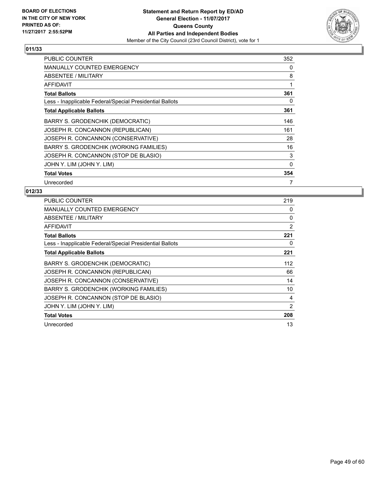

| <b>PUBLIC COUNTER</b>                                    | 352 |
|----------------------------------------------------------|-----|
| <b>MANUALLY COUNTED EMERGENCY</b>                        | 0   |
| ABSENTEE / MILITARY                                      | 8   |
| <b>AFFIDAVIT</b>                                         | 1   |
| <b>Total Ballots</b>                                     | 361 |
| Less - Inapplicable Federal/Special Presidential Ballots | 0   |
| <b>Total Applicable Ballots</b>                          | 361 |
| BARRY S. GRODENCHIK (DEMOCRATIC)                         | 146 |
| JOSEPH R. CONCANNON (REPUBLICAN)                         | 161 |
| JOSEPH R. CONCANNON (CONSERVATIVE)                       | 28  |
| BARRY S. GRODENCHIK (WORKING FAMILIES)                   | 16  |
| JOSEPH R. CONCANNON (STOP DE BLASIO)                     | 3   |
| JOHN Y. LIM (JOHN Y. LIM)                                | 0   |
| <b>Total Votes</b>                                       | 354 |
| Unrecorded                                               | 7   |

| <b>PUBLIC COUNTER</b>                                    | 219      |
|----------------------------------------------------------|----------|
| <b>MANUALLY COUNTED EMERGENCY</b>                        | 0        |
| ABSENTEE / MILITARY                                      | $\Omega$ |
| <b>AFFIDAVIT</b>                                         | 2        |
| <b>Total Ballots</b>                                     | 221      |
| Less - Inapplicable Federal/Special Presidential Ballots | 0        |
| <b>Total Applicable Ballots</b>                          | 221      |
| BARRY S. GRODENCHIK (DEMOCRATIC)                         | 112      |
| JOSEPH R. CONCANNON (REPUBLICAN)                         | 66       |
| JOSEPH R. CONCANNON (CONSERVATIVE)                       | 14       |
| <b>BARRY S. GRODENCHIK (WORKING FAMILIES)</b>            | 10       |
| JOSEPH R. CONCANNON (STOP DE BLASIO)                     | 4        |
| JOHN Y. LIM (JOHN Y. LIM)                                | 2        |
| <b>Total Votes</b>                                       | 208      |
| Unrecorded                                               | 13       |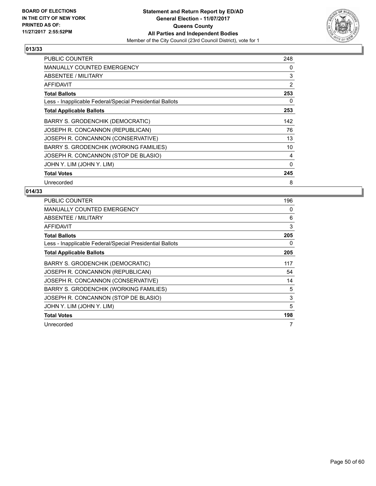

| <b>PUBLIC COUNTER</b>                                    | 248 |
|----------------------------------------------------------|-----|
| <b>MANUALLY COUNTED EMERGENCY</b>                        | 0   |
| ABSENTEE / MILITARY                                      | 3   |
| <b>AFFIDAVIT</b>                                         | 2   |
| <b>Total Ballots</b>                                     | 253 |
| Less - Inapplicable Federal/Special Presidential Ballots | 0   |
| <b>Total Applicable Ballots</b>                          | 253 |
| BARRY S. GRODENCHIK (DEMOCRATIC)                         | 142 |
| JOSEPH R. CONCANNON (REPUBLICAN)                         | 76  |
| JOSEPH R. CONCANNON (CONSERVATIVE)                       | 13  |
| BARRY S. GRODENCHIK (WORKING FAMILIES)                   | 10  |
| JOSEPH R. CONCANNON (STOP DE BLASIO)                     | 4   |
| JOHN Y. LIM (JOHN Y. LIM)                                | 0   |
| <b>Total Votes</b>                                       | 245 |
| Unrecorded                                               | 8   |

| <b>PUBLIC COUNTER</b>                                    | 196 |
|----------------------------------------------------------|-----|
| <b>MANUALLY COUNTED EMERGENCY</b>                        | 0   |
| ABSENTEE / MILITARY                                      | 6   |
| AFFIDAVIT                                                | 3   |
| <b>Total Ballots</b>                                     | 205 |
| Less - Inapplicable Federal/Special Presidential Ballots | 0   |
| <b>Total Applicable Ballots</b>                          | 205 |
| BARRY S. GRODENCHIK (DEMOCRATIC)                         | 117 |
| JOSEPH R. CONCANNON (REPUBLICAN)                         | 54  |
| JOSEPH R. CONCANNON (CONSERVATIVE)                       | 14  |
| <b>BARRY S. GRODENCHIK (WORKING FAMILIES)</b>            | 5   |
| JOSEPH R. CONCANNON (STOP DE BLASIO)                     | 3   |
| JOHN Y. LIM (JOHN Y. LIM)                                | 5   |
| <b>Total Votes</b>                                       | 198 |
| Unrecorded                                               |     |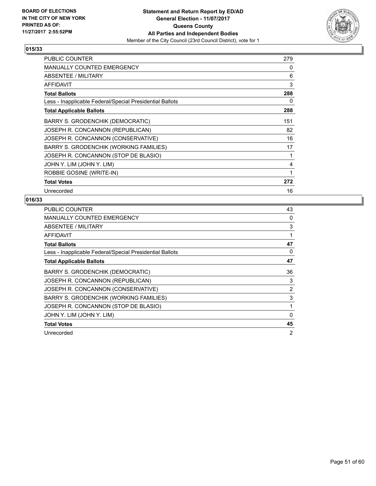

| <b>PUBLIC COUNTER</b>                                    | 279 |
|----------------------------------------------------------|-----|
| <b>MANUALLY COUNTED EMERGENCY</b>                        | 0   |
| ABSENTEE / MILITARY                                      | 6   |
| <b>AFFIDAVIT</b>                                         | 3   |
| <b>Total Ballots</b>                                     | 288 |
| Less - Inapplicable Federal/Special Presidential Ballots | 0   |
| <b>Total Applicable Ballots</b>                          | 288 |
| <b>BARRY S. GRODENCHIK (DEMOCRATIC)</b>                  | 151 |
| JOSEPH R. CONCANNON (REPUBLICAN)                         | 82  |
| JOSEPH R. CONCANNON (CONSERVATIVE)                       | 16  |
| BARRY S. GRODENCHIK (WORKING FAMILIES)                   | 17  |
| JOSEPH R. CONCANNON (STOP DE BLASIO)                     | 1   |
| JOHN Y. LIM (JOHN Y. LIM)                                | 4   |
| ROBBIE GOSINE (WRITE-IN)                                 | 1   |
| <b>Total Votes</b>                                       | 272 |
| Unrecorded                                               | 16  |

| <b>PUBLIC COUNTER</b>                                    | 43 |
|----------------------------------------------------------|----|
| <b>MANUALLY COUNTED EMERGENCY</b>                        | 0  |
| ABSENTEE / MILITARY                                      | 3  |
| AFFIDAVIT                                                | 1  |
| <b>Total Ballots</b>                                     | 47 |
| Less - Inapplicable Federal/Special Presidential Ballots | 0  |
| <b>Total Applicable Ballots</b>                          | 47 |
| BARRY S. GRODENCHIK (DEMOCRATIC)                         | 36 |
| JOSEPH R. CONCANNON (REPUBLICAN)                         | 3  |
| JOSEPH R. CONCANNON (CONSERVATIVE)                       | 2  |
| BARRY S. GRODENCHIK (WORKING FAMILIES)                   | 3  |
| JOSEPH R. CONCANNON (STOP DE BLASIO)                     | 1  |
| JOHN Y. LIM (JOHN Y. LIM)                                | 0  |
| <b>Total Votes</b>                                       | 45 |
| Unrecorded                                               | 2  |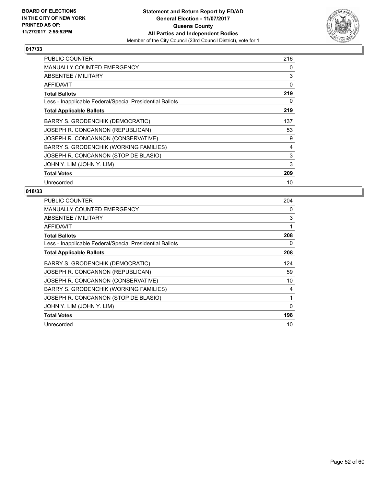

| <b>PUBLIC COUNTER</b>                                    | 216 |
|----------------------------------------------------------|-----|
| <b>MANUALLY COUNTED EMERGENCY</b>                        | 0   |
| ABSENTEE / MILITARY                                      | 3   |
| AFFIDAVIT                                                | 0   |
| <b>Total Ballots</b>                                     | 219 |
| Less - Inapplicable Federal/Special Presidential Ballots | 0   |
| <b>Total Applicable Ballots</b>                          | 219 |
| BARRY S. GRODENCHIK (DEMOCRATIC)                         | 137 |
| JOSEPH R. CONCANNON (REPUBLICAN)                         | 53  |
| JOSEPH R. CONCANNON (CONSERVATIVE)                       | 9   |
| BARRY S. GRODENCHIK (WORKING FAMILIES)                   | 4   |
| JOSEPH R. CONCANNON (STOP DE BLASIO)                     | 3   |
| JOHN Y. LIM (JOHN Y. LIM)                                | 3   |
| <b>Total Votes</b>                                       | 209 |
| Unrecorded                                               | 10  |

| <b>PUBLIC COUNTER</b>                                    | 204 |
|----------------------------------------------------------|-----|
| <b>MANUALLY COUNTED EMERGENCY</b>                        | 0   |
| ABSENTEE / MILITARY                                      | 3   |
| <b>AFFIDAVIT</b>                                         | 1   |
| <b>Total Ballots</b>                                     | 208 |
| Less - Inapplicable Federal/Special Presidential Ballots | 0   |
| <b>Total Applicable Ballots</b>                          | 208 |
| BARRY S. GRODENCHIK (DEMOCRATIC)                         | 124 |
| JOSEPH R. CONCANNON (REPUBLICAN)                         | 59  |
| JOSEPH R. CONCANNON (CONSERVATIVE)                       | 10  |
| BARRY S. GRODENCHIK (WORKING FAMILIES)                   | 4   |
| JOSEPH R. CONCANNON (STOP DE BLASIO)                     | 1   |
| JOHN Y. LIM (JOHN Y. LIM)                                | 0   |
| <b>Total Votes</b>                                       | 198 |
| Unrecorded                                               | 10  |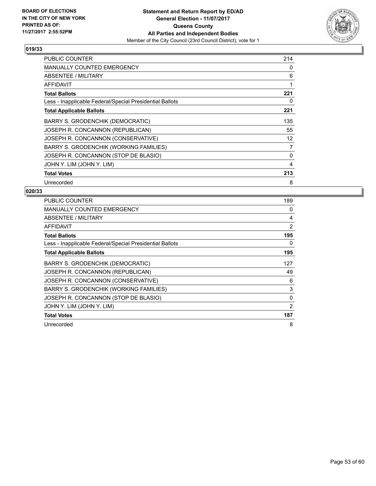

| <b>PUBLIC COUNTER</b>                                    | 214 |
|----------------------------------------------------------|-----|
| MANUALLY COUNTED EMERGENCY                               | 0   |
| ABSENTEE / MILITARY                                      | 6   |
| AFFIDAVIT                                                | 1   |
| <b>Total Ballots</b>                                     | 221 |
| Less - Inapplicable Federal/Special Presidential Ballots | 0   |
| <b>Total Applicable Ballots</b>                          | 221 |
| BARRY S. GRODENCHIK (DEMOCRATIC)                         | 135 |
| JOSEPH R. CONCANNON (REPUBLICAN)                         | 55  |
| JOSEPH R. CONCANNON (CONSERVATIVE)                       | 12  |
| BARRY S. GRODENCHIK (WORKING FAMILIES)                   | 7   |
| JOSEPH R. CONCANNON (STOP DE BLASIO)                     | 0   |
| JOHN Y. LIM (JOHN Y. LIM)                                | 4   |
| <b>Total Votes</b>                                       | 213 |
| Unrecorded                                               | 8   |

| <b>PUBLIC COUNTER</b>                                    | 189 |
|----------------------------------------------------------|-----|
| <b>MANUALLY COUNTED EMERGENCY</b>                        | 0   |
| ABSENTEE / MILITARY                                      | 4   |
| <b>AFFIDAVIT</b>                                         | 2   |
| <b>Total Ballots</b>                                     | 195 |
| Less - Inapplicable Federal/Special Presidential Ballots | 0   |
| <b>Total Applicable Ballots</b>                          | 195 |
| BARRY S. GRODENCHIK (DEMOCRATIC)                         | 127 |
| JOSEPH R. CONCANNON (REPUBLICAN)                         | 49  |
| JOSEPH R. CONCANNON (CONSERVATIVE)                       | 6   |
| BARRY S. GRODENCHIK (WORKING FAMILIES)                   | 3   |
| JOSEPH R. CONCANNON (STOP DE BLASIO)                     | 0   |
| JOHN Y. LIM (JOHN Y. LIM)                                | 2   |
| <b>Total Votes</b>                                       | 187 |
| Unrecorded                                               | 8   |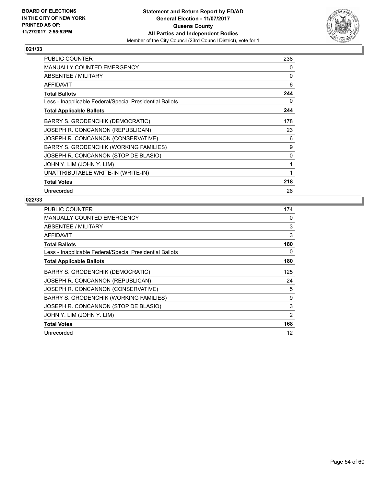

| <b>PUBLIC COUNTER</b>                                    | 238 |
|----------------------------------------------------------|-----|
| <b>MANUALLY COUNTED EMERGENCY</b>                        | 0   |
| ABSENTEE / MILITARY                                      | 0   |
| <b>AFFIDAVIT</b>                                         | 6   |
| <b>Total Ballots</b>                                     | 244 |
| Less - Inapplicable Federal/Special Presidential Ballots | 0   |
| <b>Total Applicable Ballots</b>                          | 244 |
| <b>BARRY S. GRODENCHIK (DEMOCRATIC)</b>                  | 178 |
| JOSEPH R. CONCANNON (REPUBLICAN)                         | 23  |
| JOSEPH R. CONCANNON (CONSERVATIVE)                       | 6   |
| BARRY S. GRODENCHIK (WORKING FAMILIES)                   | 9   |
| JOSEPH R. CONCANNON (STOP DE BLASIO)                     | 0   |
| JOHN Y. LIM (JOHN Y. LIM)                                | 1   |
| UNATTRIBUTABLE WRITE-IN (WRITE-IN)                       | 1   |
| <b>Total Votes</b>                                       | 218 |
| Unrecorded                                               | 26  |

| <b>PUBLIC COUNTER</b>                                    | 174 |
|----------------------------------------------------------|-----|
| MANUALLY COUNTED EMERGENCY                               | 0   |
| ABSENTEE / MILITARY                                      | 3   |
| <b>AFFIDAVIT</b>                                         | 3   |
| <b>Total Ballots</b>                                     | 180 |
| Less - Inapplicable Federal/Special Presidential Ballots | 0   |
| <b>Total Applicable Ballots</b>                          | 180 |
| BARRY S. GRODENCHIK (DEMOCRATIC)                         | 125 |
| JOSEPH R. CONCANNON (REPUBLICAN)                         | 24  |
| JOSEPH R. CONCANNON (CONSERVATIVE)                       | 5   |
| BARRY S. GRODENCHIK (WORKING FAMILIES)                   | 9   |
| JOSEPH R. CONCANNON (STOP DE BLASIO)                     | 3   |
| JOHN Y. LIM (JOHN Y. LIM)                                | 2   |
| <b>Total Votes</b>                                       | 168 |
| Unrecorded                                               | 12  |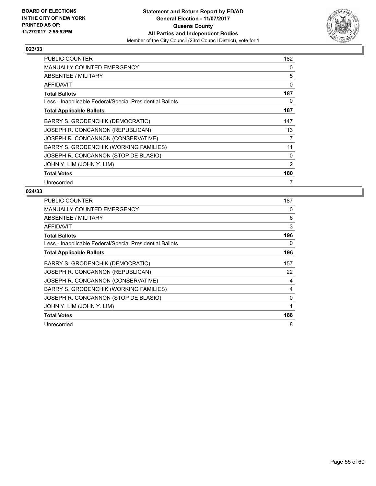

| <b>PUBLIC COUNTER</b>                                    | 182 |
|----------------------------------------------------------|-----|
| <b>MANUALLY COUNTED EMERGENCY</b>                        | 0   |
| ABSENTEE / MILITARY                                      | 5   |
| AFFIDAVIT                                                | 0   |
| <b>Total Ballots</b>                                     | 187 |
| Less - Inapplicable Federal/Special Presidential Ballots | 0   |
| <b>Total Applicable Ballots</b>                          | 187 |
| BARRY S. GRODENCHIK (DEMOCRATIC)                         | 147 |
| JOSEPH R. CONCANNON (REPUBLICAN)                         | 13  |
| JOSEPH R. CONCANNON (CONSERVATIVE)                       | 7   |
| BARRY S. GRODENCHIK (WORKING FAMILIES)                   | 11  |
| JOSEPH R. CONCANNON (STOP DE BLASIO)                     | 0   |
| JOHN Y. LIM (JOHN Y. LIM)                                | 2   |
| <b>Total Votes</b>                                       | 180 |
| Unrecorded                                               | 7   |

| PUBLIC COUNTER                                           | 187 |
|----------------------------------------------------------|-----|
| <b>MANUALLY COUNTED EMERGENCY</b>                        | 0   |
| ABSENTEE / MILITARY                                      | 6   |
| <b>AFFIDAVIT</b>                                         | 3   |
| <b>Total Ballots</b>                                     | 196 |
| Less - Inapplicable Federal/Special Presidential Ballots | 0   |
| <b>Total Applicable Ballots</b>                          | 196 |
| BARRY S. GRODENCHIK (DEMOCRATIC)                         | 157 |
| JOSEPH R. CONCANNON (REPUBLICAN)                         | 22  |
| JOSEPH R. CONCANNON (CONSERVATIVE)                       | 4   |
| BARRY S. GRODENCHIK (WORKING FAMILIES)                   | 4   |
| JOSEPH R. CONCANNON (STOP DE BLASIO)                     | 0   |
| JOHN Y. LIM (JOHN Y. LIM)                                |     |
| <b>Total Votes</b>                                       | 188 |
| Unrecorded                                               | 8   |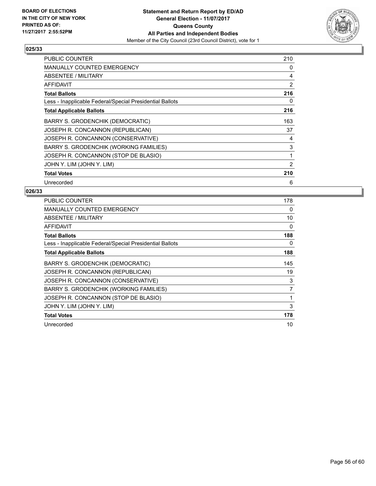

| <b>PUBLIC COUNTER</b>                                    | 210            |
|----------------------------------------------------------|----------------|
| MANUALLY COUNTED EMERGENCY                               | 0              |
| ABSENTEE / MILITARY                                      | 4              |
| AFFIDAVIT                                                | 2              |
| <b>Total Ballots</b>                                     | 216            |
| Less - Inapplicable Federal/Special Presidential Ballots | 0              |
| <b>Total Applicable Ballots</b>                          | 216            |
| BARRY S. GRODENCHIK (DEMOCRATIC)                         | 163            |
| JOSEPH R. CONCANNON (REPUBLICAN)                         | 37             |
| JOSEPH R. CONCANNON (CONSERVATIVE)                       | 4              |
| BARRY S. GRODENCHIK (WORKING FAMILIES)                   | 3              |
| JOSEPH R. CONCANNON (STOP DE BLASIO)                     | 1              |
| JOHN Y. LIM (JOHN Y. LIM)                                | $\overline{2}$ |
| <b>Total Votes</b>                                       | 210            |
| Unrecorded                                               | 6              |

| <b>PUBLIC COUNTER</b>                                    | 178 |
|----------------------------------------------------------|-----|
| <b>MANUALLY COUNTED EMERGENCY</b>                        | 0   |
| ABSENTEE / MILITARY                                      | 10  |
| <b>AFFIDAVIT</b>                                         | 0   |
| <b>Total Ballots</b>                                     | 188 |
| Less - Inapplicable Federal/Special Presidential Ballots | 0   |
| <b>Total Applicable Ballots</b>                          | 188 |
| BARRY S. GRODENCHIK (DEMOCRATIC)                         | 145 |
| JOSEPH R. CONCANNON (REPUBLICAN)                         | 19  |
| JOSEPH R. CONCANNON (CONSERVATIVE)                       | 3   |
| BARRY S. GRODENCHIK (WORKING FAMILIES)                   | 7   |
| JOSEPH R. CONCANNON (STOP DE BLASIO)                     | 1   |
| JOHN Y. LIM (JOHN Y. LIM)                                | 3   |
| <b>Total Votes</b>                                       | 178 |
| Unrecorded                                               | 10  |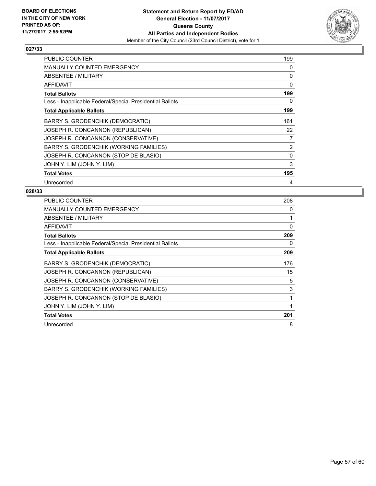

| PUBLIC COUNTER                                           | 199          |
|----------------------------------------------------------|--------------|
| <b>MANUALLY COUNTED EMERGENCY</b>                        | 0            |
| <b>ABSENTEE / MILITARY</b>                               | 0            |
| AFFIDAVIT                                                | 0            |
| <b>Total Ballots</b>                                     | 199          |
| Less - Inapplicable Federal/Special Presidential Ballots | 0            |
| <b>Total Applicable Ballots</b>                          | 199          |
| <b>BARRY S. GRODENCHIK (DEMOCRATIC)</b>                  | 161          |
| JOSEPH R. CONCANNON (REPUBLICAN)                         | 22           |
| JOSEPH R. CONCANNON (CONSERVATIVE)                       | 7            |
| <b>BARRY S. GRODENCHIK (WORKING FAMILIES)</b>            | 2            |
| JOSEPH R. CONCANNON (STOP DE BLASIO)                     | $\mathbf{0}$ |
| JOHN Y. LIM (JOHN Y. LIM)                                | 3            |
| <b>Total Votes</b>                                       | 195          |
| Unrecorded                                               | 4            |

| <b>PUBLIC COUNTER</b>                                    | 208 |
|----------------------------------------------------------|-----|
| MANUALLY COUNTED EMERGENCY                               | 0   |
| ABSENTEE / MILITARY                                      | 1   |
| AFFIDAVIT                                                | 0   |
| <b>Total Ballots</b>                                     | 209 |
| Less - Inapplicable Federal/Special Presidential Ballots | 0   |
| <b>Total Applicable Ballots</b>                          | 209 |
| BARRY S. GRODENCHIK (DEMOCRATIC)                         | 176 |
| JOSEPH R. CONCANNON (REPUBLICAN)                         | 15  |
| JOSEPH R. CONCANNON (CONSERVATIVE)                       | 5   |
| BARRY S. GRODENCHIK (WORKING FAMILIES)                   | 3   |
| JOSEPH R. CONCANNON (STOP DE BLASIO)                     | 1   |
| JOHN Y. LIM (JOHN Y. LIM)                                | 1   |
| <b>Total Votes</b>                                       | 201 |
| Unrecorded                                               | 8   |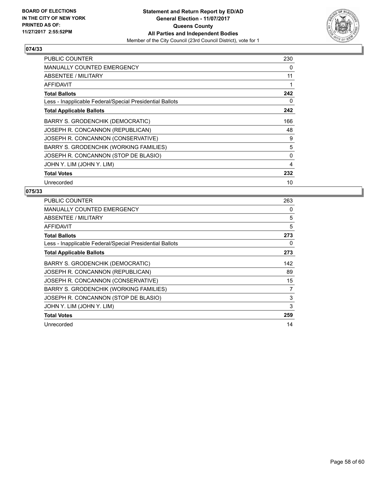

| <b>PUBLIC COUNTER</b>                                    | 230 |
|----------------------------------------------------------|-----|
| MANUALLY COUNTED EMERGENCY                               | 0   |
| ABSENTEE / MILITARY                                      | 11  |
| AFFIDAVIT                                                | 1   |
| <b>Total Ballots</b>                                     | 242 |
| Less - Inapplicable Federal/Special Presidential Ballots | 0   |
| <b>Total Applicable Ballots</b>                          | 242 |
| BARRY S. GRODENCHIK (DEMOCRATIC)                         | 166 |
| JOSEPH R. CONCANNON (REPUBLICAN)                         | 48  |
| JOSEPH R. CONCANNON (CONSERVATIVE)                       | 9   |
| BARRY S. GRODENCHIK (WORKING FAMILIES)                   | 5   |
| JOSEPH R. CONCANNON (STOP DE BLASIO)                     | 0   |
| JOHN Y. LIM (JOHN Y. LIM)                                | 4   |
| <b>Total Votes</b>                                       | 232 |
| Unrecorded                                               | 10  |

| PUBLIC COUNTER                                           | 263 |
|----------------------------------------------------------|-----|
| <b>MANUALLY COUNTED EMERGENCY</b>                        | 0   |
| ABSENTEE / MILITARY                                      | 5   |
| <b>AFFIDAVIT</b>                                         | 5   |
| <b>Total Ballots</b>                                     | 273 |
| Less - Inapplicable Federal/Special Presidential Ballots | 0   |
| <b>Total Applicable Ballots</b>                          | 273 |
| BARRY S. GRODENCHIK (DEMOCRATIC)                         | 142 |
| JOSEPH R. CONCANNON (REPUBLICAN)                         | 89  |
| JOSEPH R. CONCANNON (CONSERVATIVE)                       | 15  |
| BARRY S. GRODENCHIK (WORKING FAMILIES)                   | 7   |
| JOSEPH R. CONCANNON (STOP DE BLASIO)                     | 3   |
| JOHN Y. LIM (JOHN Y. LIM)                                | 3   |
| <b>Total Votes</b>                                       | 259 |
| Unrecorded                                               | 14  |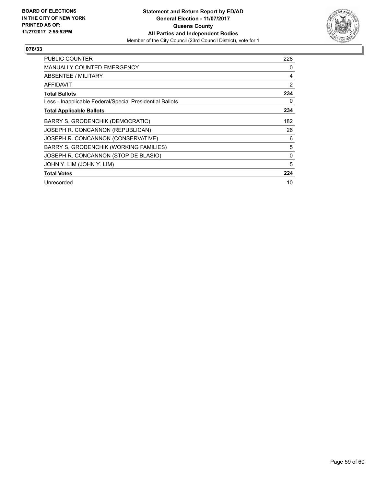

| <b>PUBLIC COUNTER</b>                                    | 228 |
|----------------------------------------------------------|-----|
| <b>MANUALLY COUNTED EMERGENCY</b>                        | 0   |
| ABSENTEE / MILITARY                                      | 4   |
| AFFIDAVIT                                                | 2   |
| <b>Total Ballots</b>                                     | 234 |
| Less - Inapplicable Federal/Special Presidential Ballots | 0   |
| <b>Total Applicable Ballots</b>                          | 234 |
| BARRY S. GRODENCHIK (DEMOCRATIC)                         | 182 |
| JOSEPH R. CONCANNON (REPUBLICAN)                         | 26  |
| JOSEPH R. CONCANNON (CONSERVATIVE)                       | 6   |
| BARRY S. GRODENCHIK (WORKING FAMILIES)                   | 5   |
| JOSEPH R. CONCANNON (STOP DE BLASIO)                     | 0   |
| JOHN Y. LIM (JOHN Y. LIM)                                | 5   |
| <b>Total Votes</b>                                       | 224 |
| Unrecorded                                               | 10  |